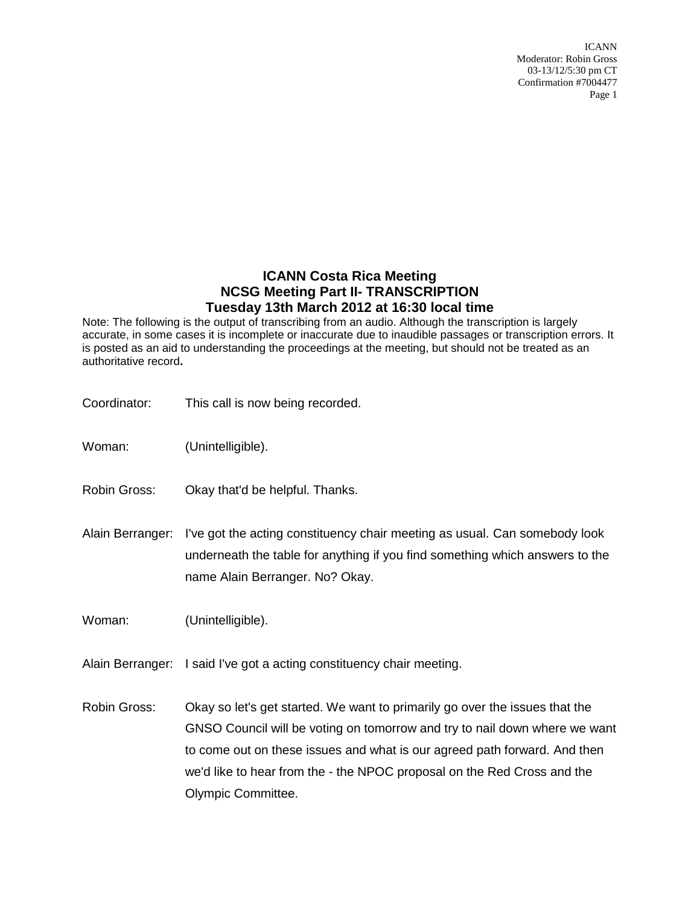# **ICANN Costa Rica Meeting NCSG Meeting Part II- TRANSCRIPTION Tuesday 13th March 2012 at 16:30 local time**

Note: The following is the output of transcribing from an audio. Although the transcription is largely accurate, in some cases it is incomplete or inaccurate due to inaudible passages or transcription errors. It is posted as an aid to understanding the proceedings at the meeting, but should not be treated as an authoritative record**.**

| Coordinator:     | This call is now being recorded.                                                                                                                                                                                                                                                                                                        |
|------------------|-----------------------------------------------------------------------------------------------------------------------------------------------------------------------------------------------------------------------------------------------------------------------------------------------------------------------------------------|
| Woman:           | (Unintelligible).                                                                                                                                                                                                                                                                                                                       |
| Robin Gross:     | Okay that'd be helpful. Thanks.                                                                                                                                                                                                                                                                                                         |
| Alain Berranger: | I've got the acting constituency chair meeting as usual. Can somebody look<br>underneath the table for anything if you find something which answers to the<br>name Alain Berranger. No? Okay.                                                                                                                                           |
| Woman:           | (Unintelligible).                                                                                                                                                                                                                                                                                                                       |
|                  | Alain Berranger: I said I've got a acting constituency chair meeting.                                                                                                                                                                                                                                                                   |
| Robin Gross:     | Okay so let's get started. We want to primarily go over the issues that the<br>GNSO Council will be voting on tomorrow and try to nail down where we want<br>to come out on these issues and what is our agreed path forward. And then<br>we'd like to hear from the - the NPOC proposal on the Red Cross and the<br>Olympic Committee. |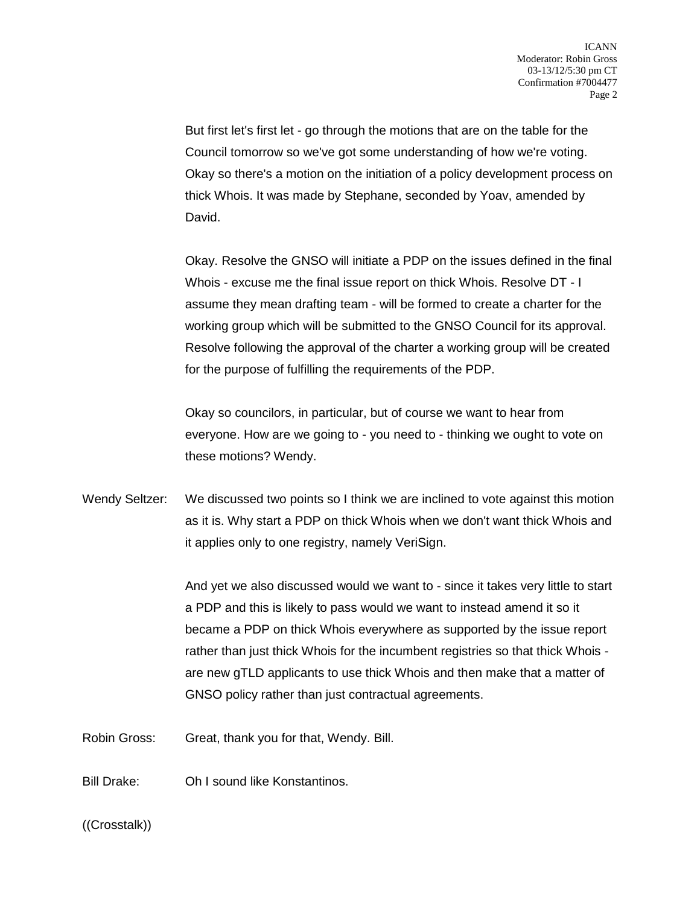But first let's first let - go through the motions that are on the table for the Council tomorrow so we've got some understanding of how we're voting. Okay so there's a motion on the initiation of a policy development process on thick Whois. It was made by Stephane, seconded by Yoav, amended by David.

Okay. Resolve the GNSO will initiate a PDP on the issues defined in the final Whois - excuse me the final issue report on thick Whois. Resolve DT - I assume they mean drafting team - will be formed to create a charter for the working group which will be submitted to the GNSO Council for its approval. Resolve following the approval of the charter a working group will be created for the purpose of fulfilling the requirements of the PDP.

Okay so councilors, in particular, but of course we want to hear from everyone. How are we going to - you need to - thinking we ought to vote on these motions? Wendy.

Wendy Seltzer: We discussed two points so I think we are inclined to vote against this motion as it is. Why start a PDP on thick Whois when we don't want thick Whois and it applies only to one registry, namely VeriSign.

> And yet we also discussed would we want to - since it takes very little to start a PDP and this is likely to pass would we want to instead amend it so it became a PDP on thick Whois everywhere as supported by the issue report rather than just thick Whois for the incumbent registries so that thick Whois are new gTLD applicants to use thick Whois and then make that a matter of GNSO policy rather than just contractual agreements.

Robin Gross: Great, thank you for that, Wendy. Bill.

Bill Drake: Oh I sound like Konstantinos.

((Crosstalk))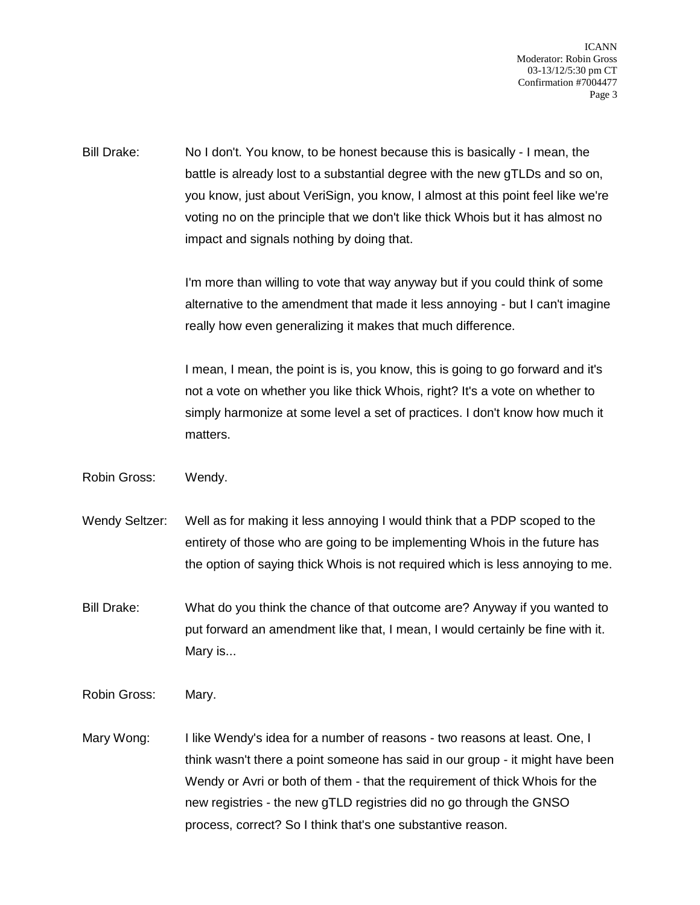Bill Drake: No I don't. You know, to be honest because this is basically - I mean, the battle is already lost to a substantial degree with the new gTLDs and so on, you know, just about VeriSign, you know, I almost at this point feel like we're voting no on the principle that we don't like thick Whois but it has almost no impact and signals nothing by doing that.

> I'm more than willing to vote that way anyway but if you could think of some alternative to the amendment that made it less annoying - but I can't imagine really how even generalizing it makes that much difference.

I mean, I mean, the point is is, you know, this is going to go forward and it's not a vote on whether you like thick Whois, right? It's a vote on whether to simply harmonize at some level a set of practices. I don't know how much it matters.

- Robin Gross: Wendy.
- Wendy Seltzer: Well as for making it less annoying I would think that a PDP scoped to the entirety of those who are going to be implementing Whois in the future has the option of saying thick Whois is not required which is less annoying to me.
- Bill Drake: What do you think the chance of that outcome are? Anyway if you wanted to put forward an amendment like that, I mean, I would certainly be fine with it. Mary is...
- Robin Gross: Mary.
- Mary Wong: I like Wendy's idea for a number of reasons two reasons at least. One, I think wasn't there a point someone has said in our group - it might have been Wendy or Avri or both of them - that the requirement of thick Whois for the new registries - the new gTLD registries did no go through the GNSO process, correct? So I think that's one substantive reason.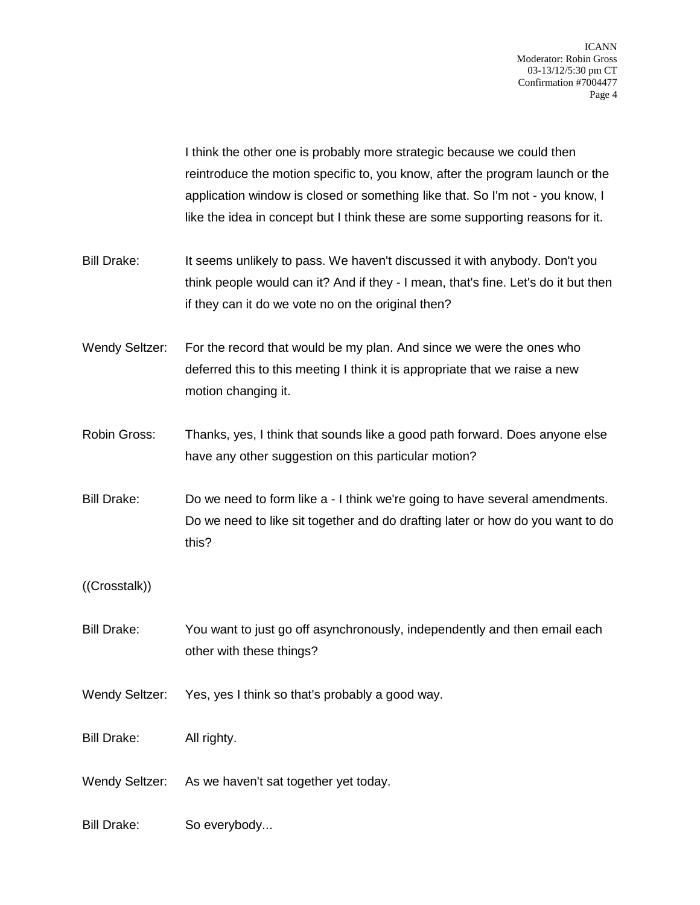I think the other one is probably more strategic because we could then reintroduce the motion specific to, you know, after the program launch or the application window is closed or something like that. So I'm not - you know, I like the idea in concept but I think these are some supporting reasons for it.

Bill Drake: It seems unlikely to pass. We haven't discussed it with anybody. Don't you think people would can it? And if they - I mean, that's fine. Let's do it but then if they can it do we vote no on the original then?

Wendy Seltzer: For the record that would be my plan. And since we were the ones who deferred this to this meeting I think it is appropriate that we raise a new motion changing it.

- Robin Gross: Thanks, yes, I think that sounds like a good path forward. Does anyone else have any other suggestion on this particular motion?
- Bill Drake: Do we need to form like a I think we're going to have several amendments. Do we need to like sit together and do drafting later or how do you want to do this?

((Crosstalk))

- Bill Drake: You want to just go off asynchronously, independently and then email each other with these things?
- Wendy Seltzer: Yes, yes I think so that's probably a good way.

Bill Drake: All righty.

Wendy Seltzer: As we haven't sat together yet today.

Bill Drake: So everybody...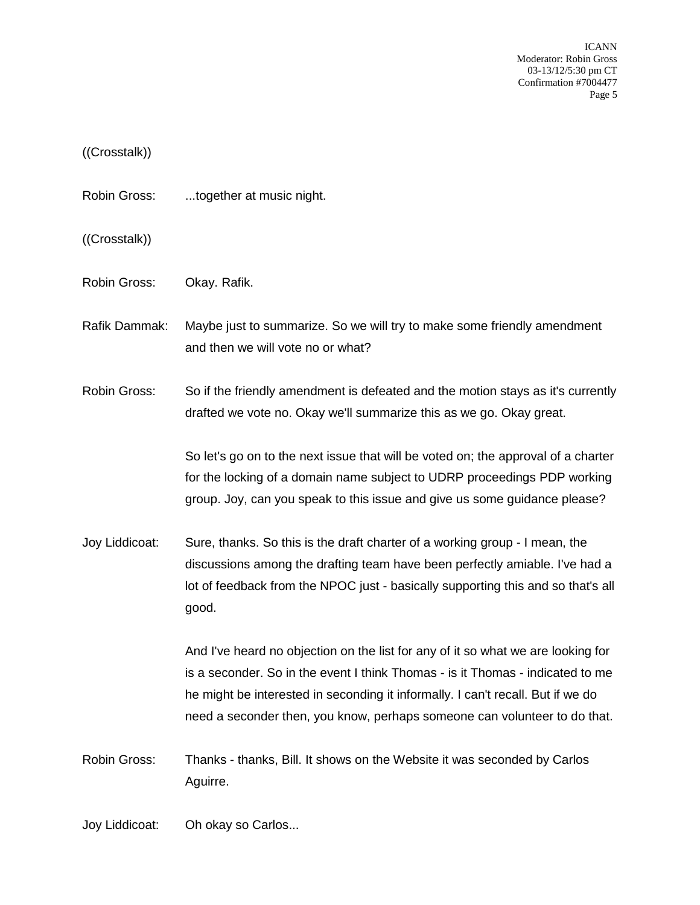#### ((Crosstalk))

Robin Gross: ...together at music night.

((Crosstalk))

Robin Gross: Okay. Rafik.

Rafik Dammak: Maybe just to summarize. So we will try to make some friendly amendment and then we will vote no or what?

Robin Gross: So if the friendly amendment is defeated and the motion stays as it's currently drafted we vote no. Okay we'll summarize this as we go. Okay great.

> So let's go on to the next issue that will be voted on; the approval of a charter for the locking of a domain name subject to UDRP proceedings PDP working group. Joy, can you speak to this issue and give us some guidance please?

Joy Liddicoat: Sure, thanks. So this is the draft charter of a working group - I mean, the discussions among the drafting team have been perfectly amiable. I've had a lot of feedback from the NPOC just - basically supporting this and so that's all good.

> And I've heard no objection on the list for any of it so what we are looking for is a seconder. So in the event I think Thomas - is it Thomas - indicated to me he might be interested in seconding it informally. I can't recall. But if we do need a seconder then, you know, perhaps someone can volunteer to do that.

Robin Gross: Thanks - thanks, Bill. It shows on the Website it was seconded by Carlos Aguirre.

Joy Liddicoat: Oh okay so Carlos...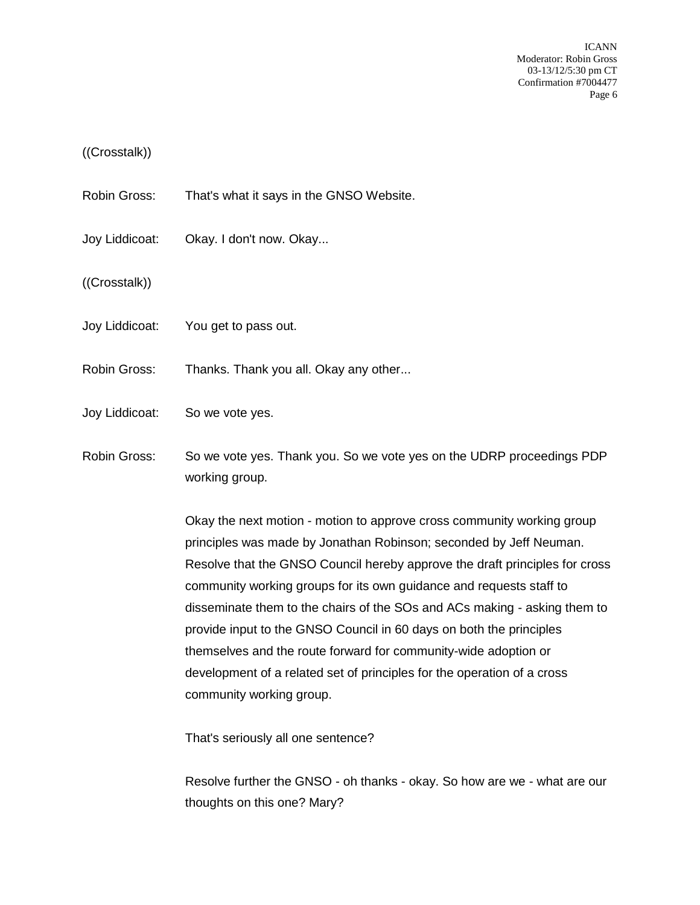#### ((Crosstalk))

- Robin Gross: That's what it says in the GNSO Website.
- Joy Liddicoat: Okay. I don't now. Okay...

((Crosstalk))

- Joy Liddicoat: You get to pass out.
- Robin Gross: Thanks. Thank you all. Okay any other...
- Joy Liddicoat: So we vote yes.
- Robin Gross: So we vote yes. Thank you. So we vote yes on the UDRP proceedings PDP working group.

Okay the next motion - motion to approve cross community working group principles was made by Jonathan Robinson; seconded by Jeff Neuman. Resolve that the GNSO Council hereby approve the draft principles for cross community working groups for its own guidance and requests staff to disseminate them to the chairs of the SOs and ACs making - asking them to provide input to the GNSO Council in 60 days on both the principles themselves and the route forward for community-wide adoption or development of a related set of principles for the operation of a cross community working group.

That's seriously all one sentence?

Resolve further the GNSO - oh thanks - okay. So how are we - what are our thoughts on this one? Mary?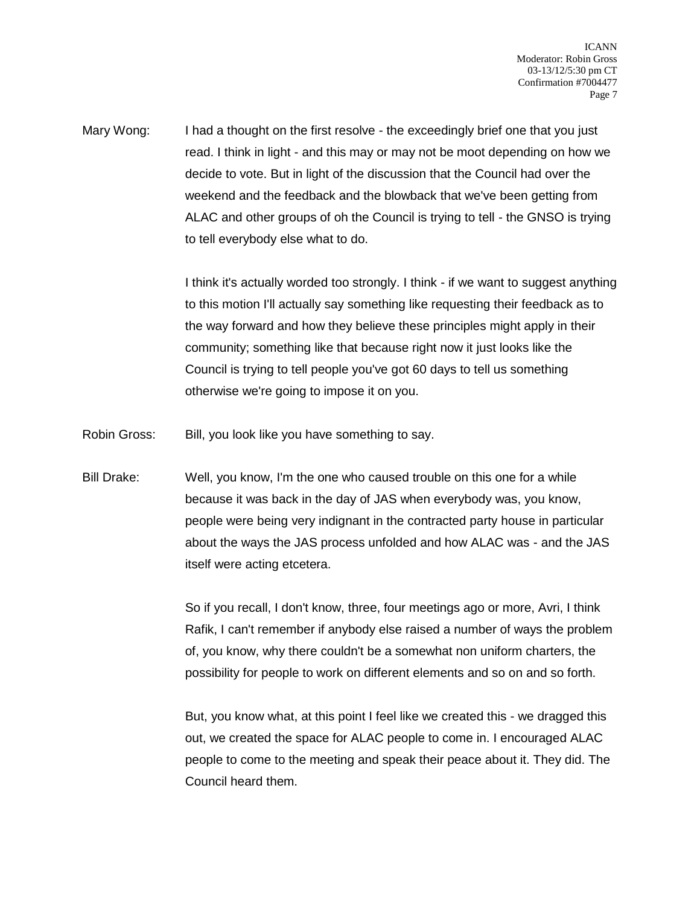Mary Wong: I had a thought on the first resolve - the exceedingly brief one that you just read. I think in light - and this may or may not be moot depending on how we decide to vote. But in light of the discussion that the Council had over the weekend and the feedback and the blowback that we've been getting from ALAC and other groups of oh the Council is trying to tell - the GNSO is trying to tell everybody else what to do.

> I think it's actually worded too strongly. I think - if we want to suggest anything to this motion I'll actually say something like requesting their feedback as to the way forward and how they believe these principles might apply in their community; something like that because right now it just looks like the Council is trying to tell people you've got 60 days to tell us something otherwise we're going to impose it on you.

Robin Gross: Bill, you look like you have something to say.

Bill Drake: Well, you know, I'm the one who caused trouble on this one for a while because it was back in the day of JAS when everybody was, you know, people were being very indignant in the contracted party house in particular about the ways the JAS process unfolded and how ALAC was - and the JAS itself were acting etcetera.

> So if you recall, I don't know, three, four meetings ago or more, Avri, I think Rafik, I can't remember if anybody else raised a number of ways the problem of, you know, why there couldn't be a somewhat non uniform charters, the possibility for people to work on different elements and so on and so forth.

> But, you know what, at this point I feel like we created this - we dragged this out, we created the space for ALAC people to come in. I encouraged ALAC people to come to the meeting and speak their peace about it. They did. The Council heard them.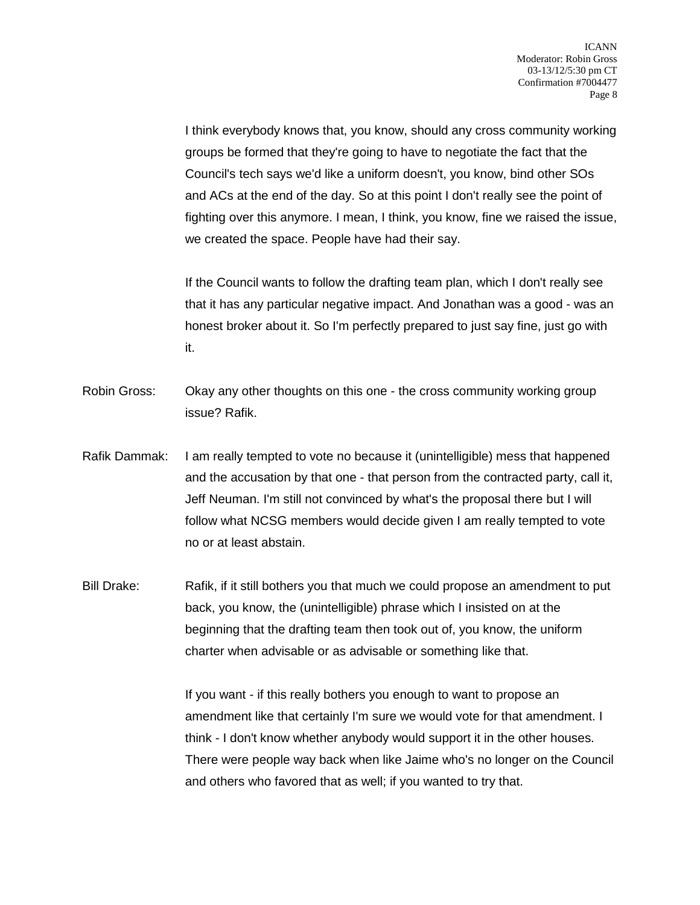I think everybody knows that, you know, should any cross community working groups be formed that they're going to have to negotiate the fact that the Council's tech says we'd like a uniform doesn't, you know, bind other SOs and ACs at the end of the day. So at this point I don't really see the point of fighting over this anymore. I mean, I think, you know, fine we raised the issue, we created the space. People have had their say.

If the Council wants to follow the drafting team plan, which I don't really see that it has any particular negative impact. And Jonathan was a good - was an honest broker about it. So I'm perfectly prepared to just say fine, just go with it.

- Robin Gross: Okay any other thoughts on this one the cross community working group issue? Rafik.
- Rafik Dammak: I am really tempted to vote no because it (unintelligible) mess that happened and the accusation by that one - that person from the contracted party, call it, Jeff Neuman. I'm still not convinced by what's the proposal there but I will follow what NCSG members would decide given I am really tempted to vote no or at least abstain.

Bill Drake: Rafik, if it still bothers you that much we could propose an amendment to put back, you know, the (unintelligible) phrase which I insisted on at the beginning that the drafting team then took out of, you know, the uniform charter when advisable or as advisable or something like that.

> If you want - if this really bothers you enough to want to propose an amendment like that certainly I'm sure we would vote for that amendment. I think - I don't know whether anybody would support it in the other houses. There were people way back when like Jaime who's no longer on the Council and others who favored that as well; if you wanted to try that.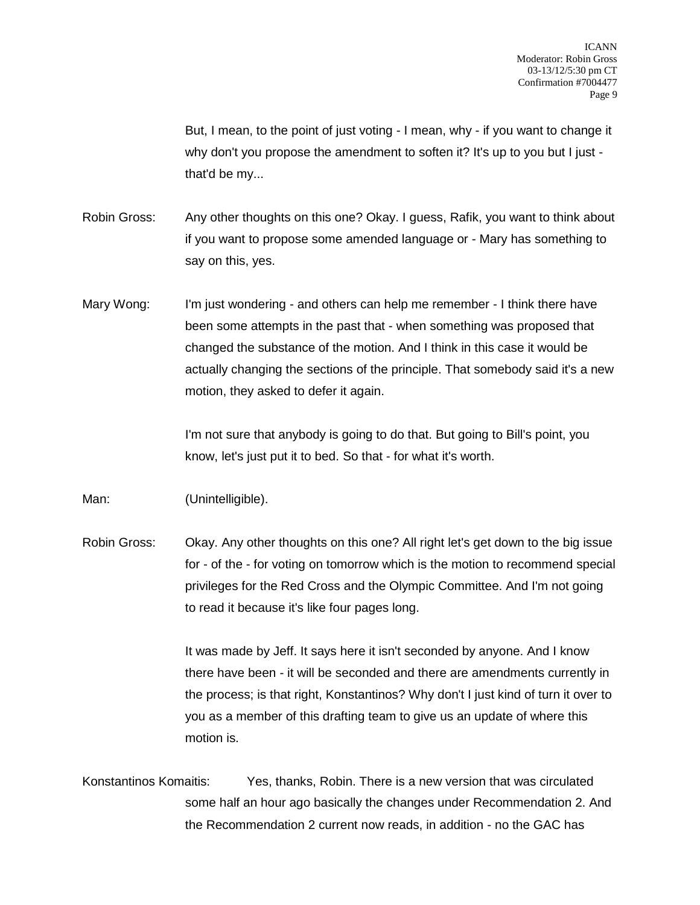But, I mean, to the point of just voting - I mean, why - if you want to change it why don't you propose the amendment to soften it? It's up to you but I just that'd be my...

- Robin Gross: Any other thoughts on this one? Okay. I guess, Rafik, you want to think about if you want to propose some amended language or - Mary has something to say on this, yes.
- Mary Wong: I'm just wondering and others can help me remember I think there have been some attempts in the past that - when something was proposed that changed the substance of the motion. And I think in this case it would be actually changing the sections of the principle. That somebody said it's a new motion, they asked to defer it again.

I'm not sure that anybody is going to do that. But going to Bill's point, you know, let's just put it to bed. So that - for what it's worth.

Man: (Unintelligible).

Robin Gross: Okay. Any other thoughts on this one? All right let's get down to the big issue for - of the - for voting on tomorrow which is the motion to recommend special privileges for the Red Cross and the Olympic Committee. And I'm not going to read it because it's like four pages long.

> It was made by Jeff. It says here it isn't seconded by anyone. And I know there have been - it will be seconded and there are amendments currently in the process; is that right, Konstantinos? Why don't I just kind of turn it over to you as a member of this drafting team to give us an update of where this motion is.

Konstantinos Komaitis: Yes, thanks, Robin. There is a new version that was circulated some half an hour ago basically the changes under Recommendation 2. And the Recommendation 2 current now reads, in addition - no the GAC has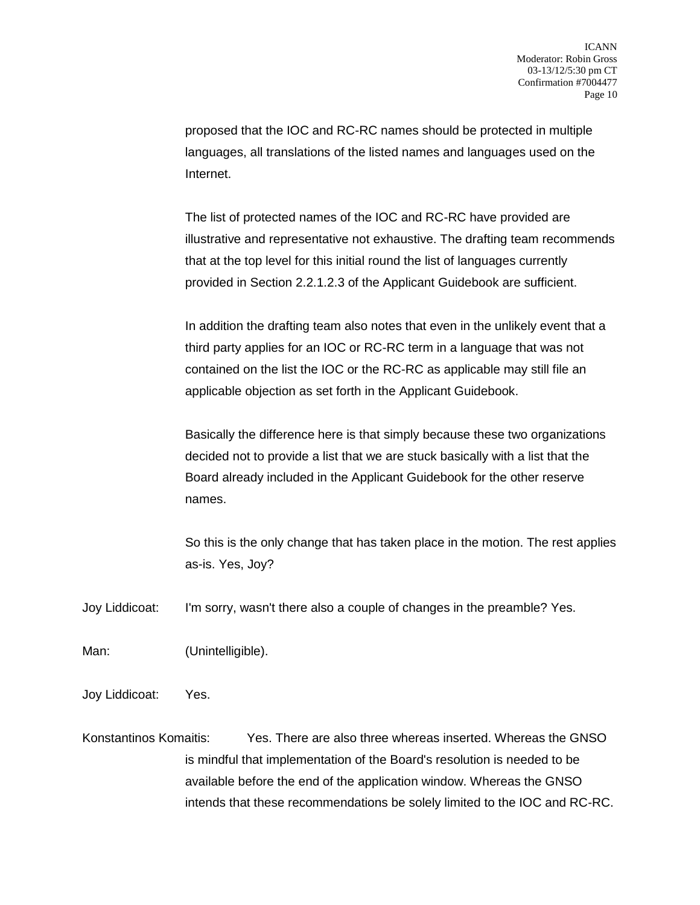proposed that the IOC and RC-RC names should be protected in multiple languages, all translations of the listed names and languages used on the Internet.

The list of protected names of the IOC and RC-RC have provided are illustrative and representative not exhaustive. The drafting team recommends that at the top level for this initial round the list of languages currently provided in Section 2.2.1.2.3 of the Applicant Guidebook are sufficient.

In addition the drafting team also notes that even in the unlikely event that a third party applies for an IOC or RC-RC term in a language that was not contained on the list the IOC or the RC-RC as applicable may still file an applicable objection as set forth in the Applicant Guidebook.

Basically the difference here is that simply because these two organizations decided not to provide a list that we are stuck basically with a list that the Board already included in the Applicant Guidebook for the other reserve names.

So this is the only change that has taken place in the motion. The rest applies as-is. Yes, Joy?

Joy Liddicoat: I'm sorry, wasn't there also a couple of changes in the preamble? Yes.

Man: (Unintelligible).

Joy Liddicoat: Yes.

Konstantinos Komaitis: Yes. There are also three whereas inserted. Whereas the GNSO is mindful that implementation of the Board's resolution is needed to be available before the end of the application window. Whereas the GNSO intends that these recommendations be solely limited to the IOC and RC-RC.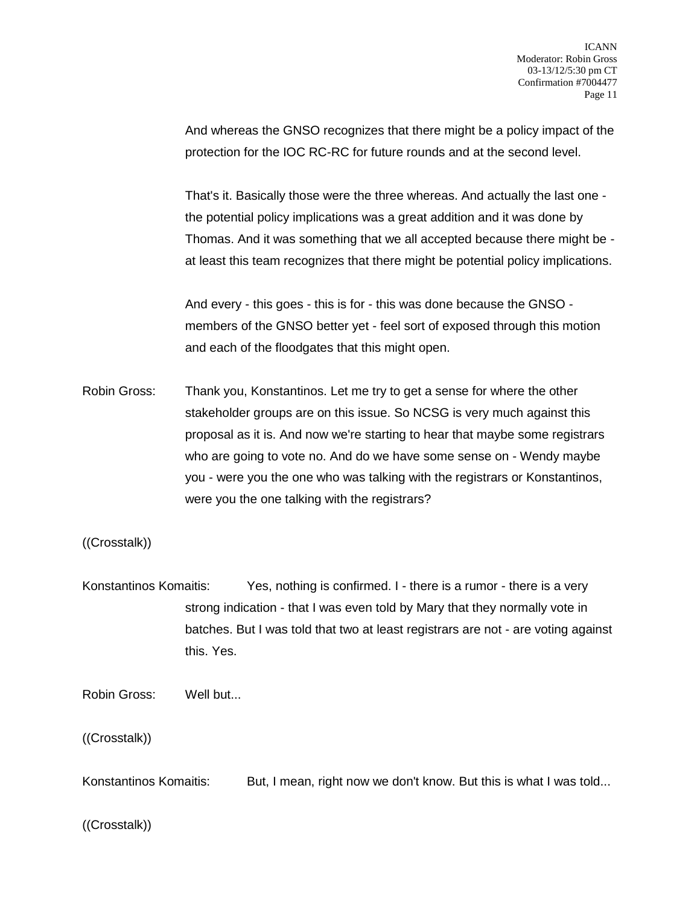And whereas the GNSO recognizes that there might be a policy impact of the protection for the IOC RC-RC for future rounds and at the second level.

That's it. Basically those were the three whereas. And actually the last one the potential policy implications was a great addition and it was done by Thomas. And it was something that we all accepted because there might be at least this team recognizes that there might be potential policy implications.

And every - this goes - this is for - this was done because the GNSO members of the GNSO better yet - feel sort of exposed through this motion and each of the floodgates that this might open.

Robin Gross: Thank you, Konstantinos. Let me try to get a sense for where the other stakeholder groups are on this issue. So NCSG is very much against this proposal as it is. And now we're starting to hear that maybe some registrars who are going to vote no. And do we have some sense on - Wendy maybe you - were you the one who was talking with the registrars or Konstantinos, were you the one talking with the registrars?

((Crosstalk))

Konstantinos Komaitis: Yes, nothing is confirmed. I - there is a rumor - there is a very strong indication - that I was even told by Mary that they normally vote in batches. But I was told that two at least registrars are not - are voting against this. Yes.

Robin Gross: Well but...

((Crosstalk))

Konstantinos Komaitis: But, I mean, right now we don't know. But this is what I was told...

((Crosstalk))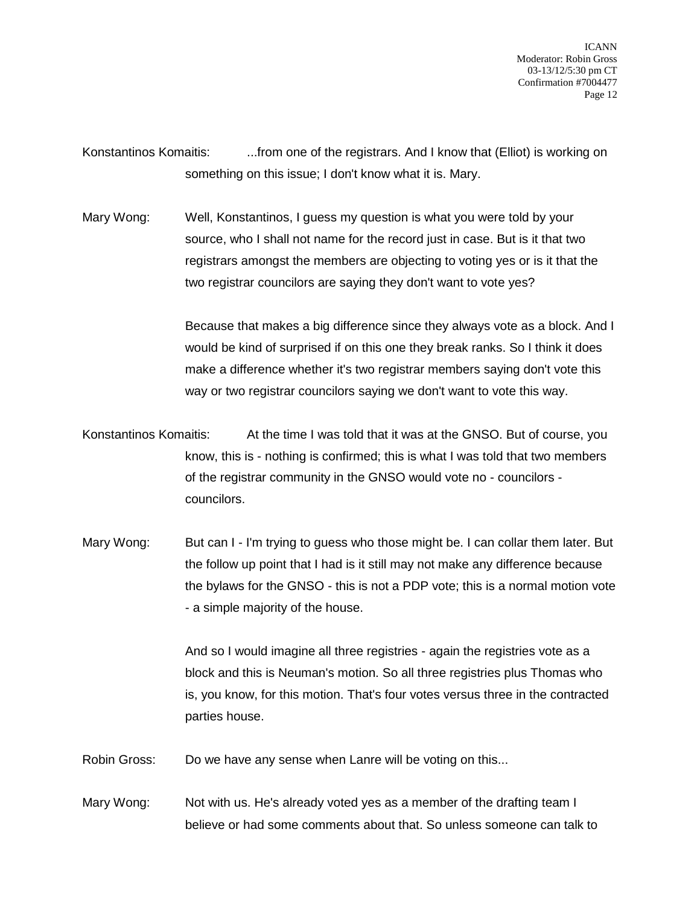Konstantinos Komaitis: ....from one of the registrars. And I know that (Elliot) is working on something on this issue; I don't know what it is. Mary.

Mary Wong: Well, Konstantinos, I guess my question is what you were told by your source, who I shall not name for the record just in case. But is it that two registrars amongst the members are objecting to voting yes or is it that the two registrar councilors are saying they don't want to vote yes?

> Because that makes a big difference since they always vote as a block. And I would be kind of surprised if on this one they break ranks. So I think it does make a difference whether it's two registrar members saying don't vote this way or two registrar councilors saying we don't want to vote this way.

Konstantinos Komaitis: At the time I was told that it was at the GNSO. But of course, you know, this is - nothing is confirmed; this is what I was told that two members of the registrar community in the GNSO would vote no - councilors councilors.

Mary Wong: But can I - I'm trying to quess who those might be. I can collar them later. But the follow up point that I had is it still may not make any difference because the bylaws for the GNSO - this is not a PDP vote; this is a normal motion vote - a simple majority of the house.

> And so I would imagine all three registries - again the registries vote as a block and this is Neuman's motion. So all three registries plus Thomas who is, you know, for this motion. That's four votes versus three in the contracted parties house.

Robin Gross: Do we have any sense when Lanre will be voting on this...

Mary Wong: Not with us. He's already voted yes as a member of the drafting team I believe or had some comments about that. So unless someone can talk to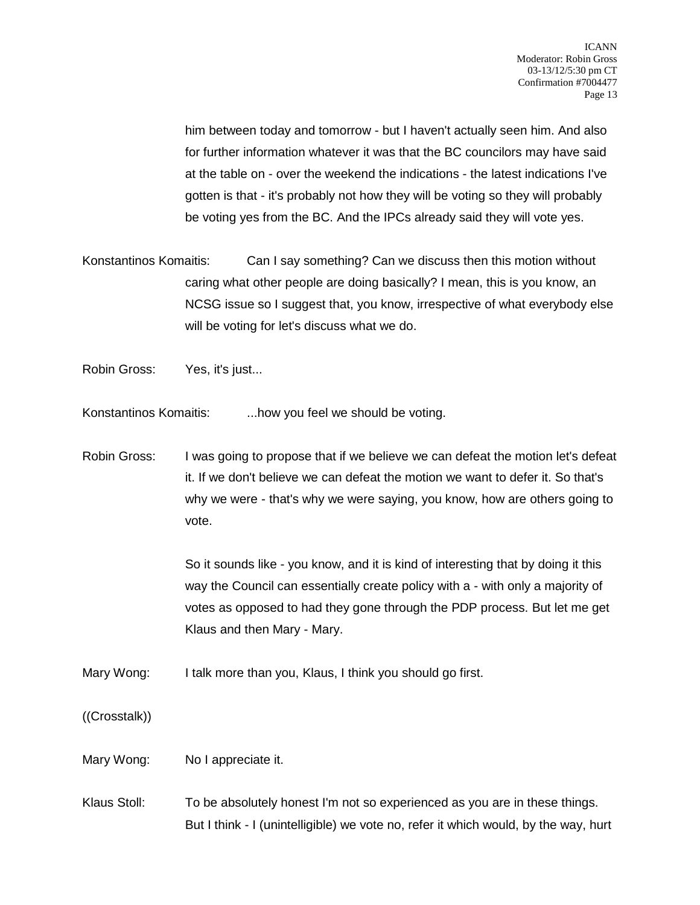him between today and tomorrow - but I haven't actually seen him. And also for further information whatever it was that the BC councilors may have said at the table on - over the weekend the indications - the latest indications I've gotten is that - it's probably not how they will be voting so they will probably be voting yes from the BC. And the IPCs already said they will vote yes.

Konstantinos Komaitis: Can I say something? Can we discuss then this motion without caring what other people are doing basically? I mean, this is you know, an NCSG issue so I suggest that, you know, irrespective of what everybody else will be voting for let's discuss what we do.

Robin Gross: Yes, it's just...

Konstantinos Komaitis: ...how you feel we should be voting.

Robin Gross: I was going to propose that if we believe we can defeat the motion let's defeat it. If we don't believe we can defeat the motion we want to defer it. So that's why we were - that's why we were saying, you know, how are others going to vote.

> So it sounds like - you know, and it is kind of interesting that by doing it this way the Council can essentially create policy with a - with only a majority of votes as opposed to had they gone through the PDP process. But let me get Klaus and then Mary - Mary.

Mary Wong: I talk more than you, Klaus, I think you should go first.

((Crosstalk))

Mary Wong: No I appreciate it.

Klaus Stoll: To be absolutely honest I'm not so experienced as you are in these things. But I think - I (unintelligible) we vote no, refer it which would, by the way, hurt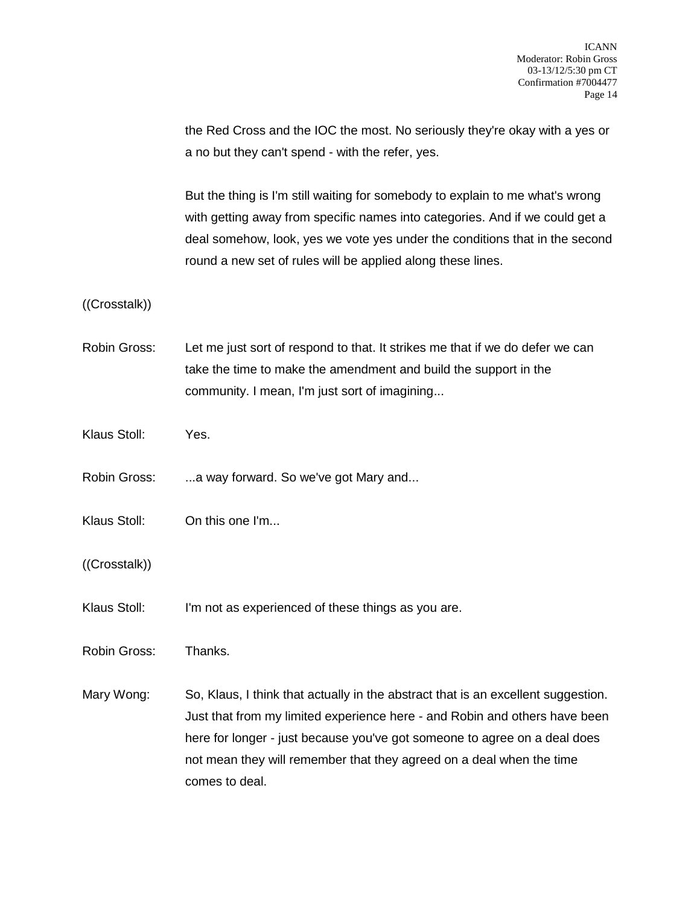the Red Cross and the IOC the most. No seriously they're okay with a yes or a no but they can't spend - with the refer, yes.

But the thing is I'm still waiting for somebody to explain to me what's wrong with getting away from specific names into categories. And if we could get a deal somehow, look, yes we vote yes under the conditions that in the second round a new set of rules will be applied along these lines.

((Crosstalk))

- Robin Gross: Let me just sort of respond to that. It strikes me that if we do defer we can take the time to make the amendment and build the support in the community. I mean, I'm just sort of imagining...
- Klaus Stoll: Yes.
- Robin Gross: ...a way forward. So we've got Mary and...
- Klaus Stoll: On this one I'm...
- ((Crosstalk))
- Klaus Stoll: I'm not as experienced of these things as you are.

Robin Gross: Thanks.

Mary Wong: So, Klaus, I think that actually in the abstract that is an excellent suggestion. Just that from my limited experience here - and Robin and others have been here for longer - just because you've got someone to agree on a deal does not mean they will remember that they agreed on a deal when the time comes to deal.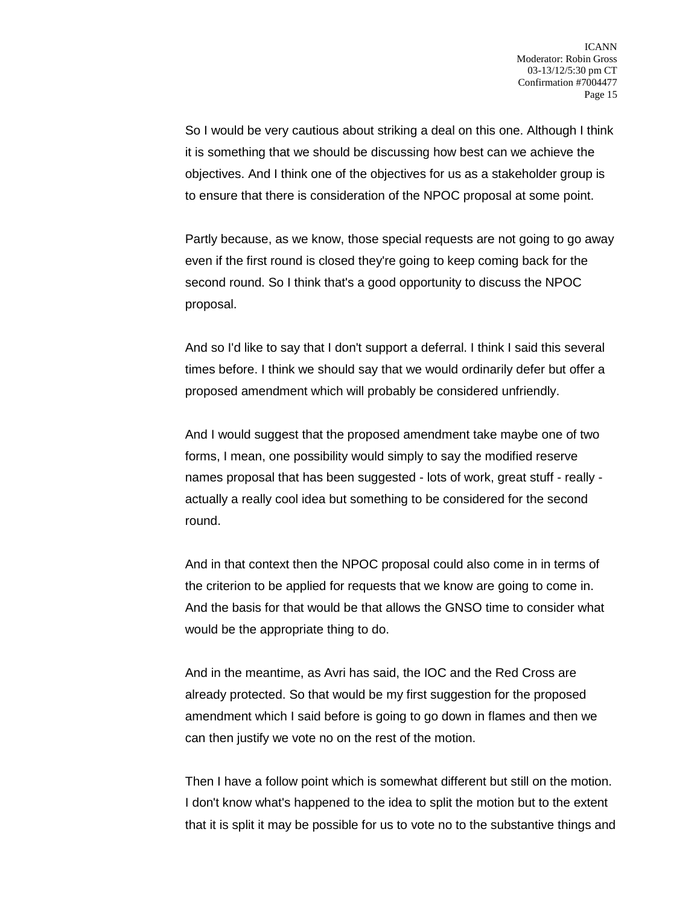So I would be very cautious about striking a deal on this one. Although I think it is something that we should be discussing how best can we achieve the objectives. And I think one of the objectives for us as a stakeholder group is to ensure that there is consideration of the NPOC proposal at some point.

Partly because, as we know, those special requests are not going to go away even if the first round is closed they're going to keep coming back for the second round. So I think that's a good opportunity to discuss the NPOC proposal.

And so I'd like to say that I don't support a deferral. I think I said this several times before. I think we should say that we would ordinarily defer but offer a proposed amendment which will probably be considered unfriendly.

And I would suggest that the proposed amendment take maybe one of two forms, I mean, one possibility would simply to say the modified reserve names proposal that has been suggested - lots of work, great stuff - really actually a really cool idea but something to be considered for the second round.

And in that context then the NPOC proposal could also come in in terms of the criterion to be applied for requests that we know are going to come in. And the basis for that would be that allows the GNSO time to consider what would be the appropriate thing to do.

And in the meantime, as Avri has said, the IOC and the Red Cross are already protected. So that would be my first suggestion for the proposed amendment which I said before is going to go down in flames and then we can then justify we vote no on the rest of the motion.

Then I have a follow point which is somewhat different but still on the motion. I don't know what's happened to the idea to split the motion but to the extent that it is split it may be possible for us to vote no to the substantive things and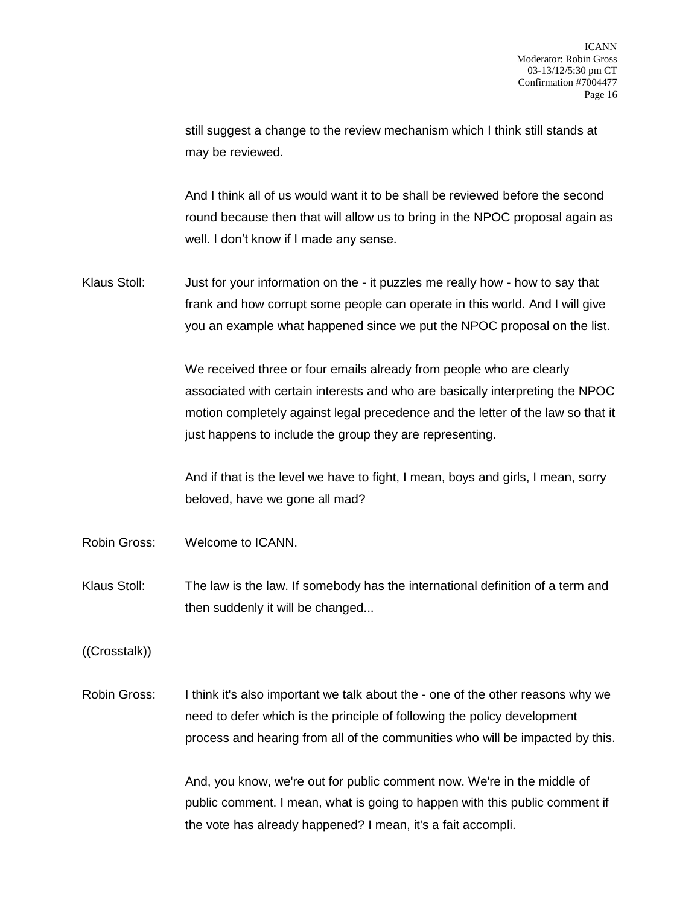still suggest a change to the review mechanism which I think still stands at may be reviewed.

And I think all of us would want it to be shall be reviewed before the second round because then that will allow us to bring in the NPOC proposal again as well. I don't know if I made any sense.

Klaus Stoll: Just for your information on the - it puzzles me really how - how to say that frank and how corrupt some people can operate in this world. And I will give you an example what happened since we put the NPOC proposal on the list.

> We received three or four emails already from people who are clearly associated with certain interests and who are basically interpreting the NPOC motion completely against legal precedence and the letter of the law so that it just happens to include the group they are representing.

And if that is the level we have to fight, I mean, boys and girls, I mean, sorry beloved, have we gone all mad?

- Robin Gross: Welcome to ICANN.
- Klaus Stoll: The law is the law. If somebody has the international definition of a term and then suddenly it will be changed...

((Crosstalk))

Robin Gross: I think it's also important we talk about the - one of the other reasons why we need to defer which is the principle of following the policy development process and hearing from all of the communities who will be impacted by this.

> And, you know, we're out for public comment now. We're in the middle of public comment. I mean, what is going to happen with this public comment if the vote has already happened? I mean, it's a fait accompli.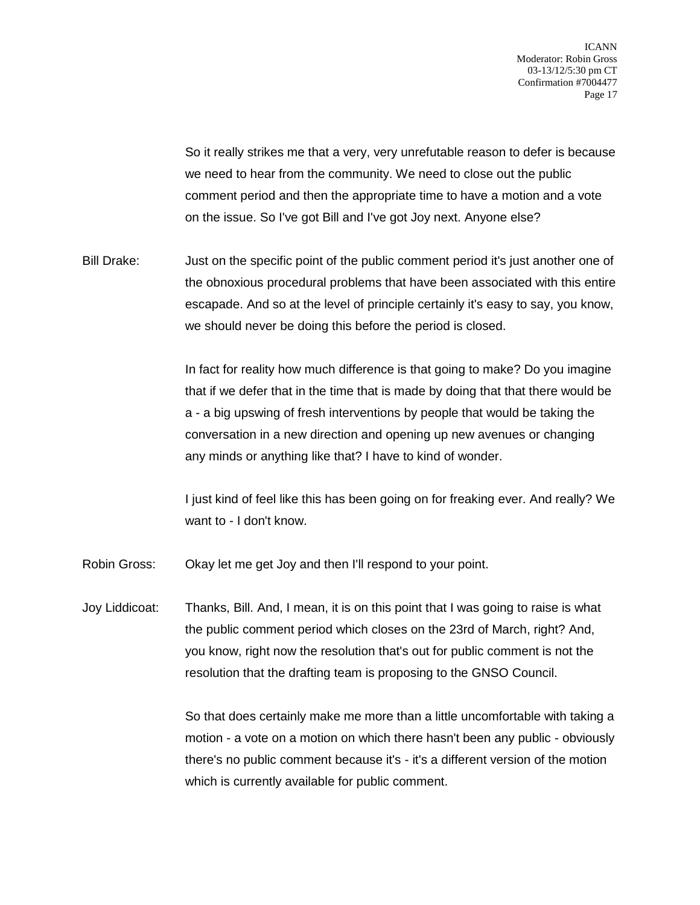So it really strikes me that a very, very unrefutable reason to defer is because we need to hear from the community. We need to close out the public comment period and then the appropriate time to have a motion and a vote on the issue. So I've got Bill and I've got Joy next. Anyone else?

Bill Drake: Just on the specific point of the public comment period it's just another one of the obnoxious procedural problems that have been associated with this entire escapade. And so at the level of principle certainly it's easy to say, you know, we should never be doing this before the period is closed.

> In fact for reality how much difference is that going to make? Do you imagine that if we defer that in the time that is made by doing that that there would be a - a big upswing of fresh interventions by people that would be taking the conversation in a new direction and opening up new avenues or changing any minds or anything like that? I have to kind of wonder.

> I just kind of feel like this has been going on for freaking ever. And really? We want to - I don't know.

- Robin Gross: Okay let me get Joy and then I'll respond to your point.
- Joy Liddicoat: Thanks, Bill. And, I mean, it is on this point that I was going to raise is what the public comment period which closes on the 23rd of March, right? And, you know, right now the resolution that's out for public comment is not the resolution that the drafting team is proposing to the GNSO Council.

So that does certainly make me more than a little uncomfortable with taking a motion - a vote on a motion on which there hasn't been any public - obviously there's no public comment because it's - it's a different version of the motion which is currently available for public comment.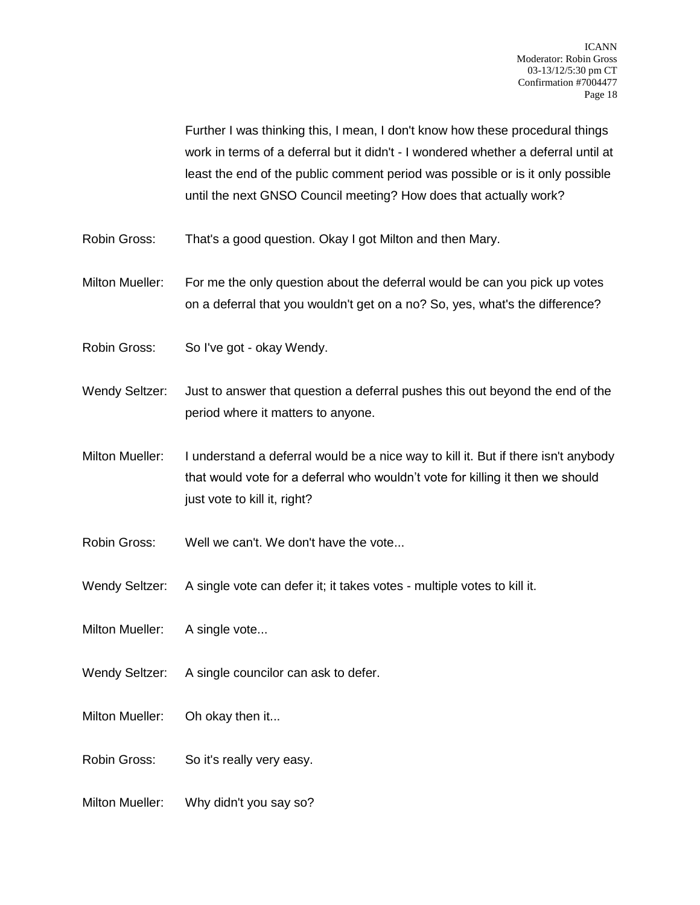Further I was thinking this, I mean, I don't know how these procedural things work in terms of a deferral but it didn't - I wondered whether a deferral until at least the end of the public comment period was possible or is it only possible until the next GNSO Council meeting? How does that actually work?

- Robin Gross: That's a good question. Okay I got Milton and then Mary.
- Milton Mueller: For me the only question about the deferral would be can you pick up votes on a deferral that you wouldn't get on a no? So, yes, what's the difference?
- Robin Gross: So I've got okay Wendy.
- Wendy Seltzer: Just to answer that question a deferral pushes this out beyond the end of the period where it matters to anyone.
- Milton Mueller: I understand a deferral would be a nice way to kill it. But if there isn't anybody that would vote for a deferral who wouldn't vote for killing it then we should just vote to kill it, right?
- Robin Gross: Well we can't. We don't have the vote...
- Wendy Seltzer: A single vote can defer it; it takes votes multiple votes to kill it.
- Milton Mueller: A single vote...
- Wendy Seltzer: A single councilor can ask to defer.
- Milton Mueller: Oh okay then it...
- Robin Gross: So it's really very easy.
- Milton Mueller: Why didn't you say so?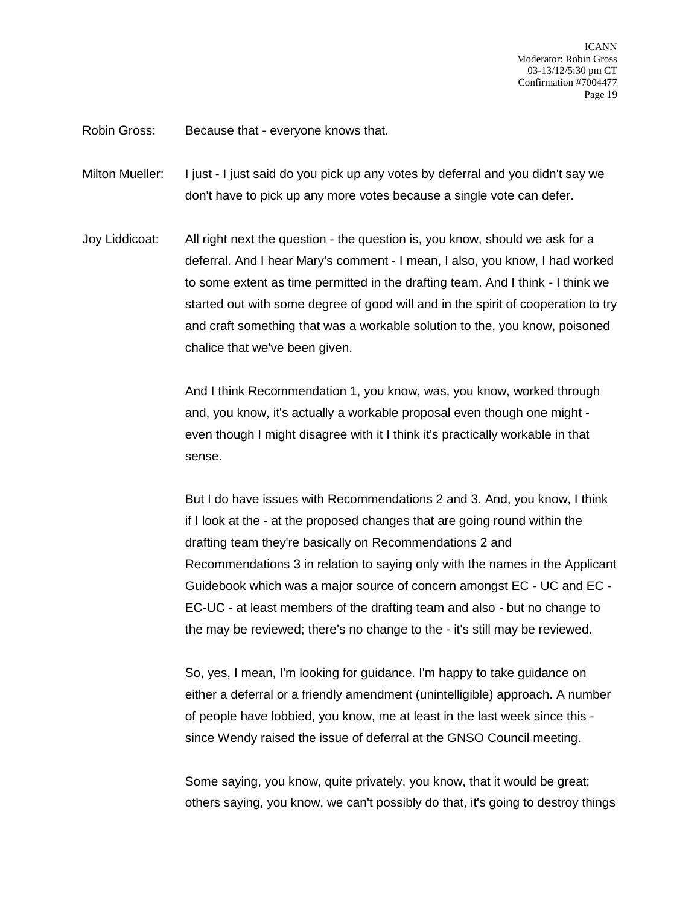Robin Gross: Because that - everyone knows that.

Milton Mueller: I just - I just said do you pick up any votes by deferral and you didn't say we don't have to pick up any more votes because a single vote can defer.

Joy Liddicoat: All right next the question - the question is, you know, should we ask for a deferral. And I hear Mary's comment - I mean, I also, you know, I had worked to some extent as time permitted in the drafting team. And I think - I think we started out with some degree of good will and in the spirit of cooperation to try and craft something that was a workable solution to the, you know, poisoned chalice that we've been given.

> And I think Recommendation 1, you know, was, you know, worked through and, you know, it's actually a workable proposal even though one might even though I might disagree with it I think it's practically workable in that sense.

But I do have issues with Recommendations 2 and 3. And, you know, I think if I look at the - at the proposed changes that are going round within the drafting team they're basically on Recommendations 2 and Recommendations 3 in relation to saying only with the names in the Applicant Guidebook which was a major source of concern amongst EC - UC and EC - EC-UC - at least members of the drafting team and also - but no change to the may be reviewed; there's no change to the - it's still may be reviewed.

So, yes, I mean, I'm looking for guidance. I'm happy to take guidance on either a deferral or a friendly amendment (unintelligible) approach. A number of people have lobbied, you know, me at least in the last week since this since Wendy raised the issue of deferral at the GNSO Council meeting.

Some saying, you know, quite privately, you know, that it would be great; others saying, you know, we can't possibly do that, it's going to destroy things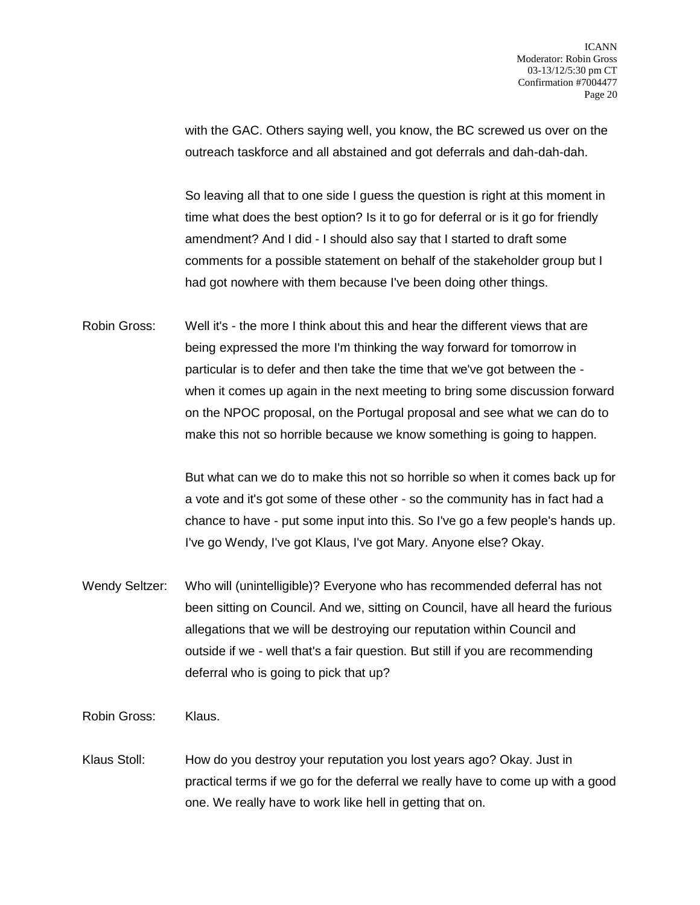with the GAC. Others saying well, you know, the BC screwed us over on the outreach taskforce and all abstained and got deferrals and dah-dah-dah.

So leaving all that to one side I guess the question is right at this moment in time what does the best option? Is it to go for deferral or is it go for friendly amendment? And I did - I should also say that I started to draft some comments for a possible statement on behalf of the stakeholder group but I had got nowhere with them because I've been doing other things.

Robin Gross: Well it's - the more I think about this and hear the different views that are being expressed the more I'm thinking the way forward for tomorrow in particular is to defer and then take the time that we've got between the when it comes up again in the next meeting to bring some discussion forward on the NPOC proposal, on the Portugal proposal and see what we can do to make this not so horrible because we know something is going to happen.

> But what can we do to make this not so horrible so when it comes back up for a vote and it's got some of these other - so the community has in fact had a chance to have - put some input into this. So I've go a few people's hands up. I've go Wendy, I've got Klaus, I've got Mary. Anyone else? Okay.

Wendy Seltzer: Who will (unintelligible)? Everyone who has recommended deferral has not been sitting on Council. And we, sitting on Council, have all heard the furious allegations that we will be destroying our reputation within Council and outside if we - well that's a fair question. But still if you are recommending deferral who is going to pick that up?

Robin Gross: Klaus.

Klaus Stoll: How do you destroy your reputation you lost years ago? Okay. Just in practical terms if we go for the deferral we really have to come up with a good one. We really have to work like hell in getting that on.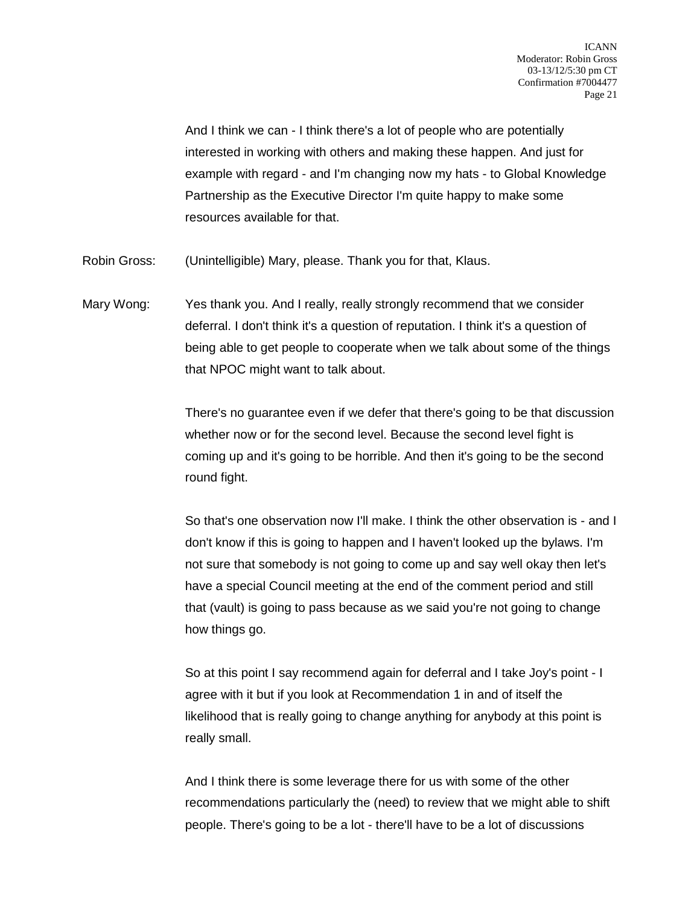And I think we can - I think there's a lot of people who are potentially interested in working with others and making these happen. And just for example with regard - and I'm changing now my hats - to Global Knowledge Partnership as the Executive Director I'm quite happy to make some resources available for that.

Robin Gross: (Unintelligible) Mary, please. Thank you for that, Klaus.

Mary Wong: Yes thank you. And I really, really strongly recommend that we consider deferral. I don't think it's a question of reputation. I think it's a question of being able to get people to cooperate when we talk about some of the things that NPOC might want to talk about.

> There's no guarantee even if we defer that there's going to be that discussion whether now or for the second level. Because the second level fight is coming up and it's going to be horrible. And then it's going to be the second round fight.

> So that's one observation now I'll make. I think the other observation is - and I don't know if this is going to happen and I haven't looked up the bylaws. I'm not sure that somebody is not going to come up and say well okay then let's have a special Council meeting at the end of the comment period and still that (vault) is going to pass because as we said you're not going to change how things go.

So at this point I say recommend again for deferral and I take Joy's point - I agree with it but if you look at Recommendation 1 in and of itself the likelihood that is really going to change anything for anybody at this point is really small.

And I think there is some leverage there for us with some of the other recommendations particularly the (need) to review that we might able to shift people. There's going to be a lot - there'll have to be a lot of discussions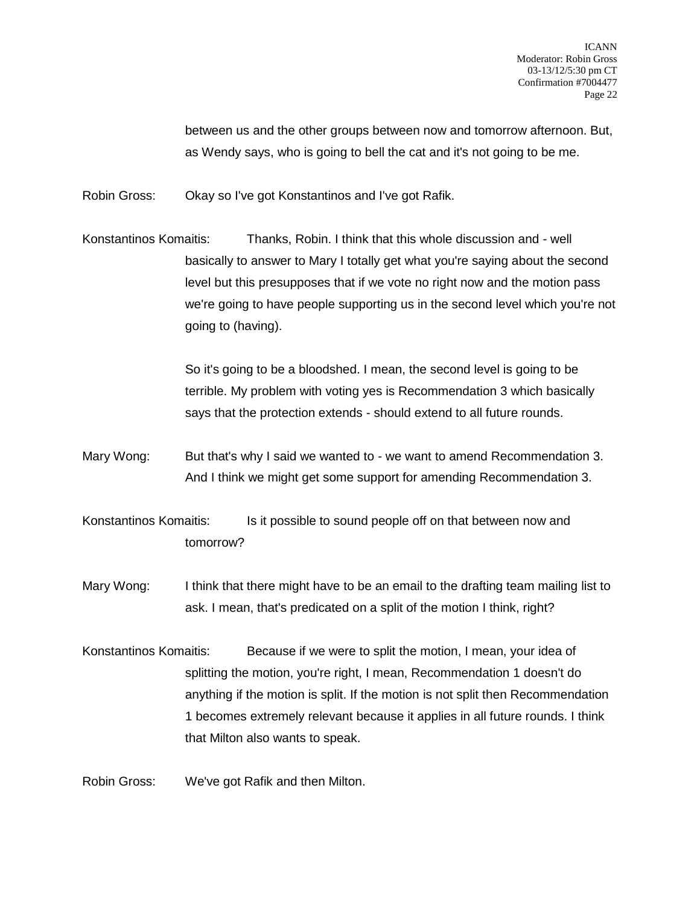between us and the other groups between now and tomorrow afternoon. But, as Wendy says, who is going to bell the cat and it's not going to be me.

Robin Gross: Okay so I've got Konstantinos and I've got Rafik.

Konstantinos Komaitis: Thanks, Robin. I think that this whole discussion and - well basically to answer to Mary I totally get what you're saying about the second level but this presupposes that if we vote no right now and the motion pass we're going to have people supporting us in the second level which you're not going to (having).

> So it's going to be a bloodshed. I mean, the second level is going to be terrible. My problem with voting yes is Recommendation 3 which basically says that the protection extends - should extend to all future rounds.

Mary Wong: But that's why I said we wanted to - we want to amend Recommendation 3. And I think we might get some support for amending Recommendation 3.

Konstantinos Komaitis: Is it possible to sound people off on that between now and tomorrow?

- Mary Wong: I think that there might have to be an email to the drafting team mailing list to ask. I mean, that's predicated on a split of the motion I think, right?
- Konstantinos Komaitis: Because if we were to split the motion, I mean, your idea of splitting the motion, you're right, I mean, Recommendation 1 doesn't do anything if the motion is split. If the motion is not split then Recommendation 1 becomes extremely relevant because it applies in all future rounds. I think that Milton also wants to speak.

Robin Gross: We've got Rafik and then Milton.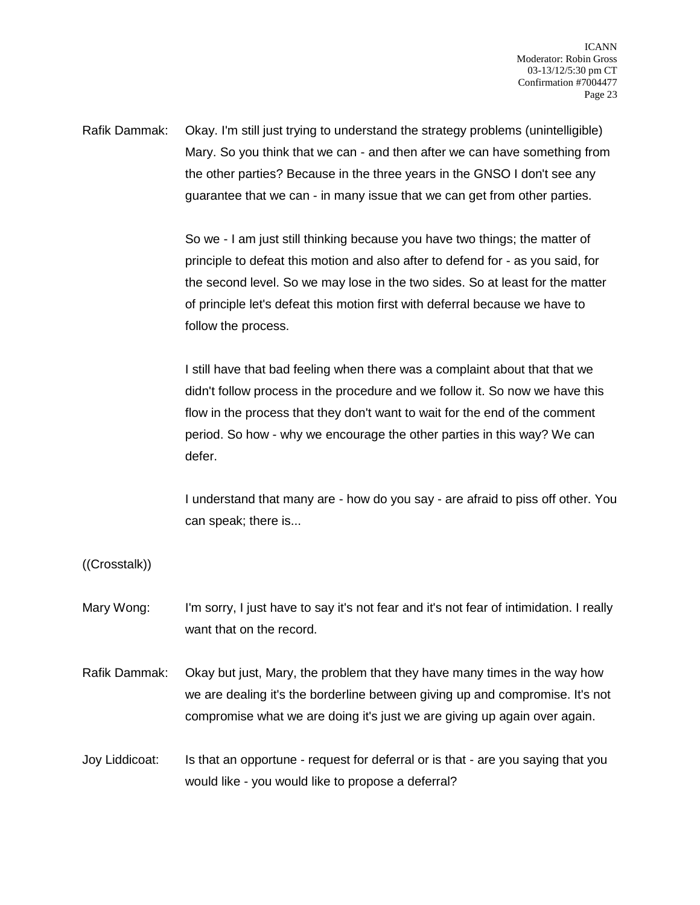Rafik Dammak: Okay. I'm still just trying to understand the strategy problems (unintelligible) Mary. So you think that we can - and then after we can have something from the other parties? Because in the three years in the GNSO I don't see any guarantee that we can - in many issue that we can get from other parties.

> So we - I am just still thinking because you have two things; the matter of principle to defeat this motion and also after to defend for - as you said, for the second level. So we may lose in the two sides. So at least for the matter of principle let's defeat this motion first with deferral because we have to follow the process.

> I still have that bad feeling when there was a complaint about that that we didn't follow process in the procedure and we follow it. So now we have this flow in the process that they don't want to wait for the end of the comment period. So how - why we encourage the other parties in this way? We can defer.

I understand that many are - how do you say - are afraid to piss off other. You can speak; there is...

((Crosstalk))

- Mary Wong: I'm sorry, I just have to say it's not fear and it's not fear of intimidation. I really want that on the record.
- Rafik Dammak: Okay but just, Mary, the problem that they have many times in the way how we are dealing it's the borderline between giving up and compromise. It's not compromise what we are doing it's just we are giving up again over again.
- Joy Liddicoat: Is that an opportune request for deferral or is that are you saying that you would like - you would like to propose a deferral?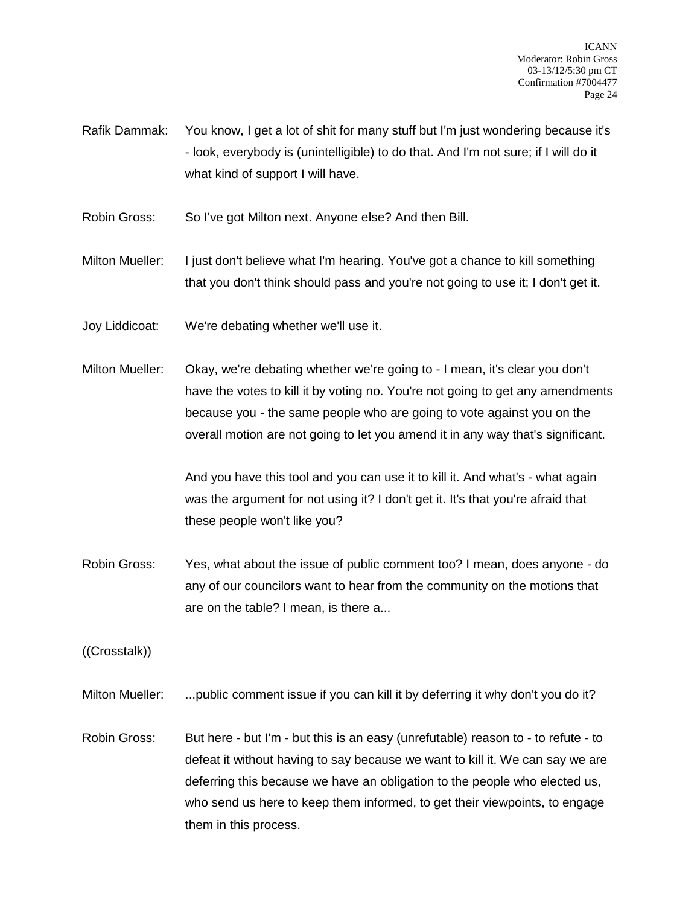- Rafik Dammak: You know, I get a lot of shit for many stuff but I'm just wondering because it's - look, everybody is (unintelligible) to do that. And I'm not sure; if I will do it what kind of support I will have.
- Robin Gross: So I've got Milton next. Anyone else? And then Bill.

Milton Mueller: I just don't believe what I'm hearing. You've got a chance to kill something that you don't think should pass and you're not going to use it; I don't get it.

- Joy Liddicoat: We're debating whether we'll use it.
- Milton Mueller: Okay, we're debating whether we're going to I mean, it's clear you don't have the votes to kill it by voting no. You're not going to get any amendments because you - the same people who are going to vote against you on the overall motion are not going to let you amend it in any way that's significant.

And you have this tool and you can use it to kill it. And what's - what again was the argument for not using it? I don't get it. It's that you're afraid that these people won't like you?

Robin Gross: Yes, what about the issue of public comment too? I mean, does anyone - do any of our councilors want to hear from the community on the motions that are on the table? I mean, is there a...

((Crosstalk))

Milton Mueller: ...public comment issue if you can kill it by deferring it why don't you do it?

Robin Gross: But here - but I'm - but this is an easy (unrefutable) reason to - to refute - to defeat it without having to say because we want to kill it. We can say we are deferring this because we have an obligation to the people who elected us, who send us here to keep them informed, to get their viewpoints, to engage them in this process.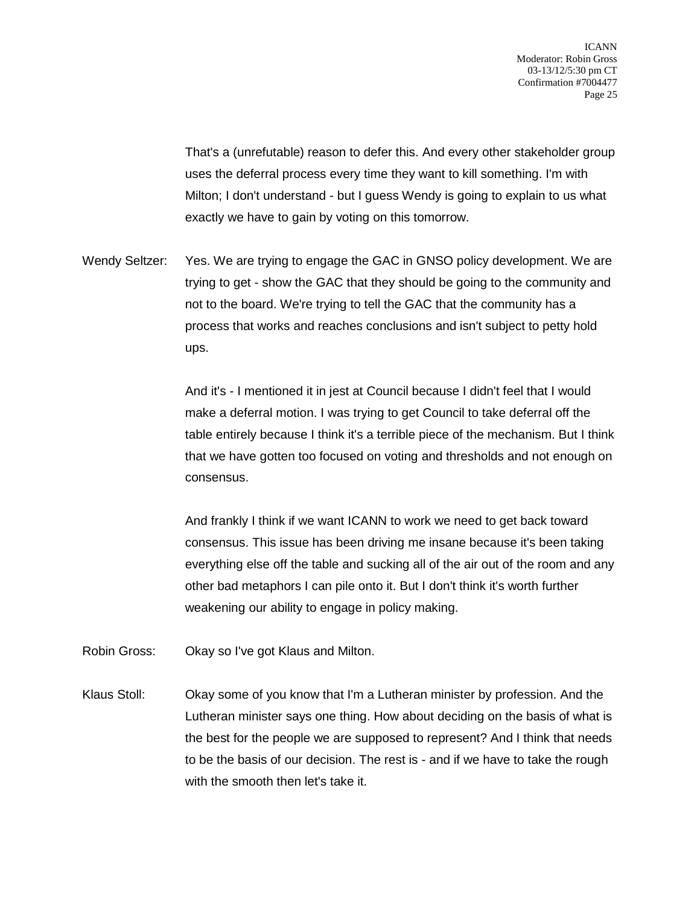That's a (unrefutable) reason to defer this. And every other stakeholder group uses the deferral process every time they want to kill something. I'm with Milton; I don't understand - but I guess Wendy is going to explain to us what exactly we have to gain by voting on this tomorrow.

Wendy Seltzer: Yes. We are trying to engage the GAC in GNSO policy development. We are trying to get - show the GAC that they should be going to the community and not to the board. We're trying to tell the GAC that the community has a process that works and reaches conclusions and isn't subject to petty hold ups.

> And it's - I mentioned it in jest at Council because I didn't feel that I would make a deferral motion. I was trying to get Council to take deferral off the table entirely because I think it's a terrible piece of the mechanism. But I think that we have gotten too focused on voting and thresholds and not enough on consensus.

> And frankly I think if we want ICANN to work we need to get back toward consensus. This issue has been driving me insane because it's been taking everything else off the table and sucking all of the air out of the room and any other bad metaphors I can pile onto it. But I don't think it's worth further weakening our ability to engage in policy making.

- Robin Gross: Okay so I've got Klaus and Milton.
- Klaus Stoll: Okay some of you know that I'm a Lutheran minister by profession. And the Lutheran minister says one thing. How about deciding on the basis of what is the best for the people we are supposed to represent? And I think that needs to be the basis of our decision. The rest is - and if we have to take the rough with the smooth then let's take it.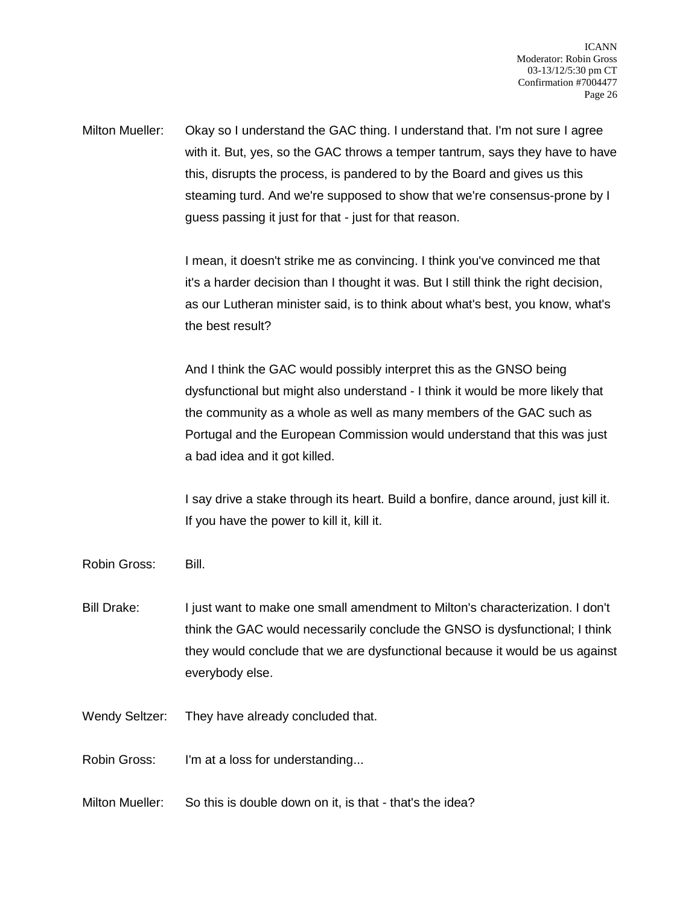Milton Mueller: Okay so I understand the GAC thing. I understand that. I'm not sure I agree with it. But, yes, so the GAC throws a temper tantrum, says they have to have this, disrupts the process, is pandered to by the Board and gives us this steaming turd. And we're supposed to show that we're consensus-prone by I guess passing it just for that - just for that reason.

> I mean, it doesn't strike me as convincing. I think you've convinced me that it's a harder decision than I thought it was. But I still think the right decision, as our Lutheran minister said, is to think about what's best, you know, what's the best result?

> And I think the GAC would possibly interpret this as the GNSO being dysfunctional but might also understand - I think it would be more likely that the community as a whole as well as many members of the GAC such as Portugal and the European Commission would understand that this was just a bad idea and it got killed.

> I say drive a stake through its heart. Build a bonfire, dance around, just kill it. If you have the power to kill it, kill it.

Robin Gross: Bill.

- Bill Drake: I just want to make one small amendment to Milton's characterization. I don't think the GAC would necessarily conclude the GNSO is dysfunctional; I think they would conclude that we are dysfunctional because it would be us against everybody else.
- Wendy Seltzer: They have already concluded that.

Robin Gross: I'm at a loss for understanding...

Milton Mueller: So this is double down on it, is that - that's the idea?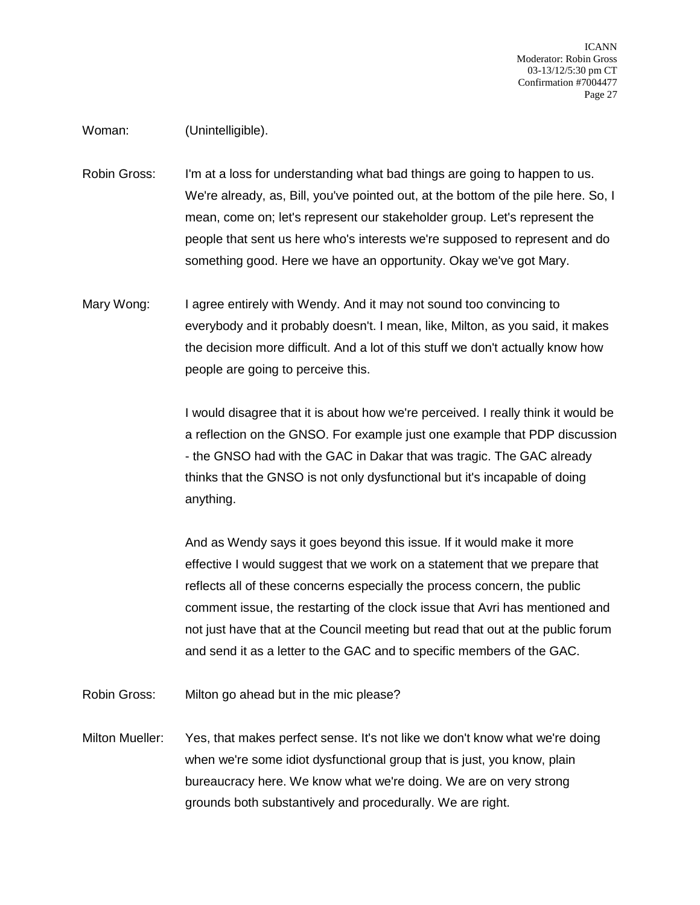## Woman: (Unintelligible).

Robin Gross: I'm at a loss for understanding what bad things are going to happen to us. We're already, as, Bill, you've pointed out, at the bottom of the pile here. So, I mean, come on; let's represent our stakeholder group. Let's represent the people that sent us here who's interests we're supposed to represent and do something good. Here we have an opportunity. Okay we've got Mary.

Mary Wong: I agree entirely with Wendy. And it may not sound too convincing to everybody and it probably doesn't. I mean, like, Milton, as you said, it makes the decision more difficult. And a lot of this stuff we don't actually know how people are going to perceive this.

> I would disagree that it is about how we're perceived. I really think it would be a reflection on the GNSO. For example just one example that PDP discussion - the GNSO had with the GAC in Dakar that was tragic. The GAC already thinks that the GNSO is not only dysfunctional but it's incapable of doing anything.

And as Wendy says it goes beyond this issue. If it would make it more effective I would suggest that we work on a statement that we prepare that reflects all of these concerns especially the process concern, the public comment issue, the restarting of the clock issue that Avri has mentioned and not just have that at the Council meeting but read that out at the public forum and send it as a letter to the GAC and to specific members of the GAC.

Robin Gross: Milton go ahead but in the mic please?

Milton Mueller: Yes, that makes perfect sense. It's not like we don't know what we're doing when we're some idiot dysfunctional group that is just, you know, plain bureaucracy here. We know what we're doing. We are on very strong grounds both substantively and procedurally. We are right.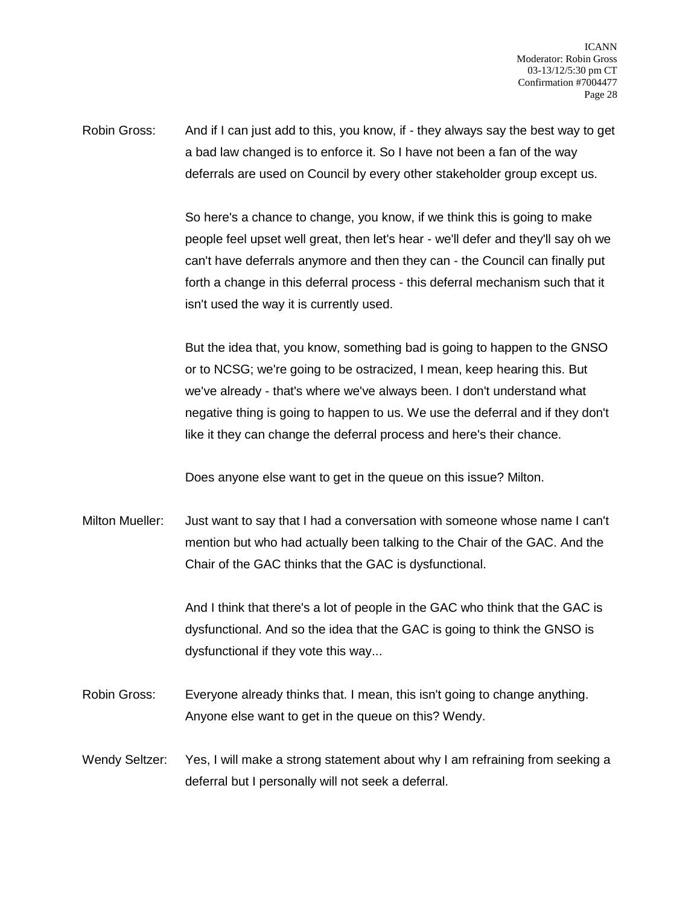Robin Gross: And if I can just add to this, you know, if - they always say the best way to get a bad law changed is to enforce it. So I have not been a fan of the way deferrals are used on Council by every other stakeholder group except us.

> So here's a chance to change, you know, if we think this is going to make people feel upset well great, then let's hear - we'll defer and they'll say oh we can't have deferrals anymore and then they can - the Council can finally put forth a change in this deferral process - this deferral mechanism such that it isn't used the way it is currently used.

> But the idea that, you know, something bad is going to happen to the GNSO or to NCSG; we're going to be ostracized, I mean, keep hearing this. But we've already - that's where we've always been. I don't understand what negative thing is going to happen to us. We use the deferral and if they don't like it they can change the deferral process and here's their chance.

Does anyone else want to get in the queue on this issue? Milton.

Milton Mueller: Just want to say that I had a conversation with someone whose name I can't mention but who had actually been talking to the Chair of the GAC. And the Chair of the GAC thinks that the GAC is dysfunctional.

> And I think that there's a lot of people in the GAC who think that the GAC is dysfunctional. And so the idea that the GAC is going to think the GNSO is dysfunctional if they vote this way...

Robin Gross: Everyone already thinks that. I mean, this isn't going to change anything. Anyone else want to get in the queue on this? Wendy.

Wendy Seltzer: Yes, I will make a strong statement about why I am refraining from seeking a deferral but I personally will not seek a deferral.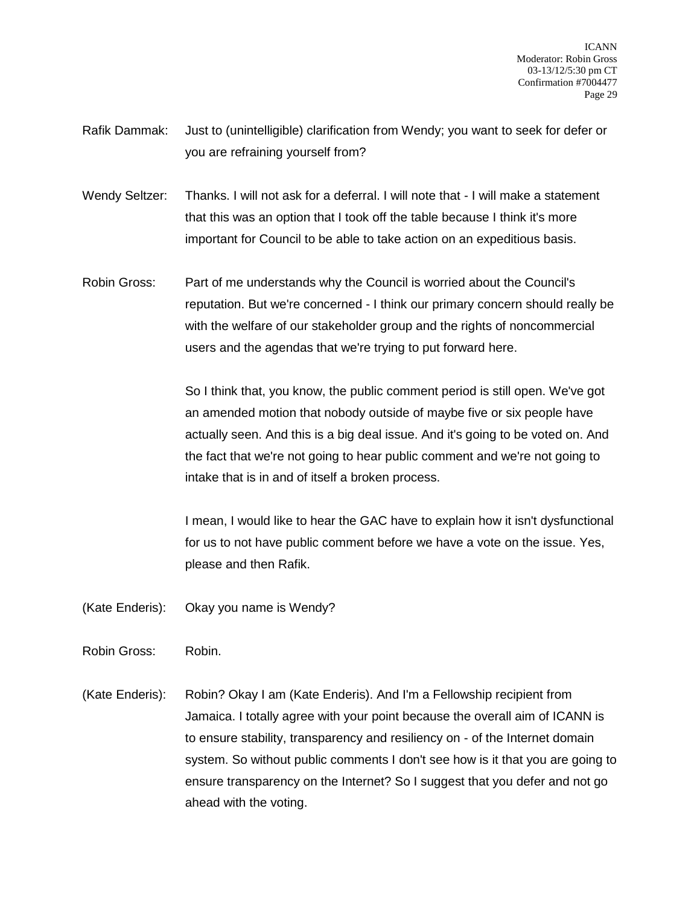- Rafik Dammak: Just to (unintelligible) clarification from Wendy; you want to seek for defer or you are refraining yourself from?
- Wendy Seltzer: Thanks. I will not ask for a deferral. I will note that I will make a statement that this was an option that I took off the table because I think it's more important for Council to be able to take action on an expeditious basis.
- Robin Gross: Part of me understands why the Council is worried about the Council's reputation. But we're concerned - I think our primary concern should really be with the welfare of our stakeholder group and the rights of noncommercial users and the agendas that we're trying to put forward here.

So I think that, you know, the public comment period is still open. We've got an amended motion that nobody outside of maybe five or six people have actually seen. And this is a big deal issue. And it's going to be voted on. And the fact that we're not going to hear public comment and we're not going to intake that is in and of itself a broken process.

I mean, I would like to hear the GAC have to explain how it isn't dysfunctional for us to not have public comment before we have a vote on the issue. Yes, please and then Rafik.

- (Kate Enderis): Okay you name is Wendy?
- Robin Gross: Robin.
- (Kate Enderis): Robin? Okay I am (Kate Enderis). And I'm a Fellowship recipient from Jamaica. I totally agree with your point because the overall aim of ICANN is to ensure stability, transparency and resiliency on - of the Internet domain system. So without public comments I don't see how is it that you are going to ensure transparency on the Internet? So I suggest that you defer and not go ahead with the voting.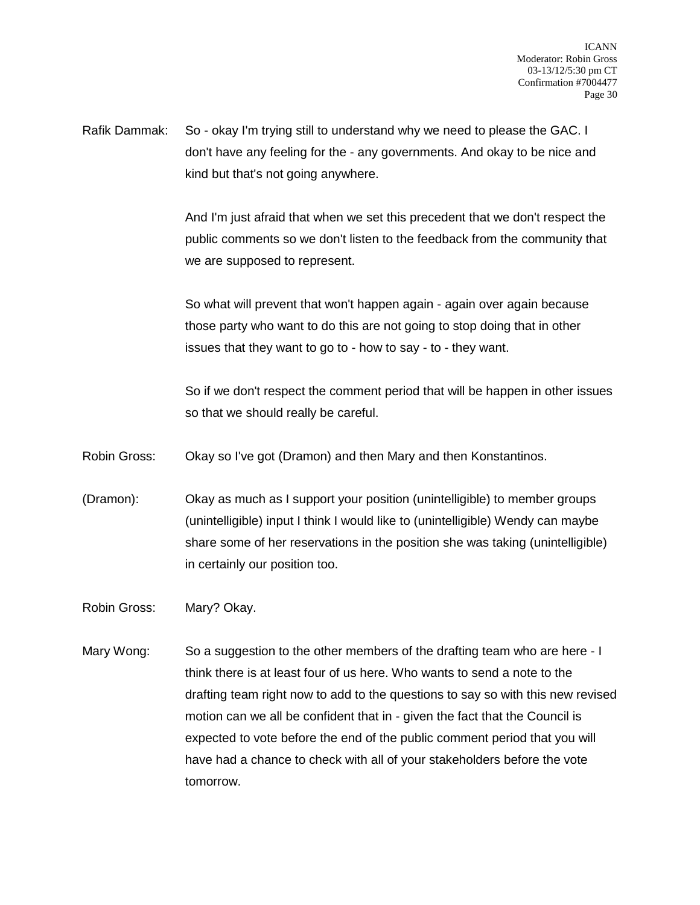Rafik Dammak: So - okay I'm trying still to understand why we need to please the GAC. I don't have any feeling for the - any governments. And okay to be nice and kind but that's not going anywhere.

> And I'm just afraid that when we set this precedent that we don't respect the public comments so we don't listen to the feedback from the community that we are supposed to represent.

So what will prevent that won't happen again - again over again because those party who want to do this are not going to stop doing that in other issues that they want to go to - how to say - to - they want.

So if we don't respect the comment period that will be happen in other issues so that we should really be careful.

Robin Gross: Okay so I've got (Dramon) and then Mary and then Konstantinos.

(Dramon): Okay as much as I support your position (unintelligible) to member groups (unintelligible) input I think I would like to (unintelligible) Wendy can maybe share some of her reservations in the position she was taking (unintelligible) in certainly our position too.

Robin Gross: Mary? Okay.

Mary Wong: So a suggestion to the other members of the drafting team who are here - I think there is at least four of us here. Who wants to send a note to the drafting team right now to add to the questions to say so with this new revised motion can we all be confident that in - given the fact that the Council is expected to vote before the end of the public comment period that you will have had a chance to check with all of your stakeholders before the vote tomorrow.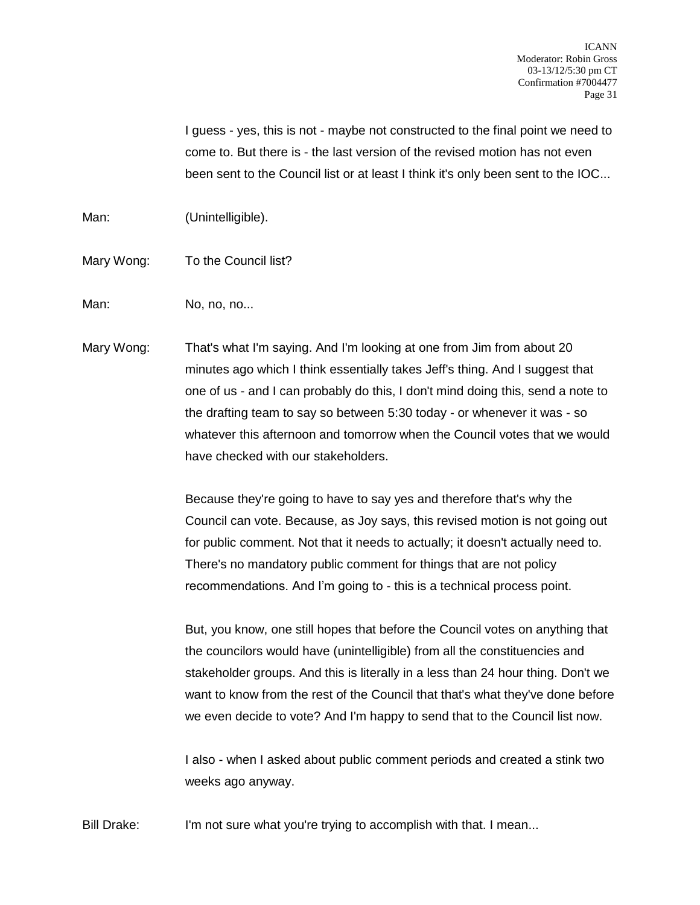I guess - yes, this is not - maybe not constructed to the final point we need to come to. But there is - the last version of the revised motion has not even been sent to the Council list or at least I think it's only been sent to the IOC...

Man: (Unintelligible).

- Mary Wong: To the Council list?
- Man: No, no, no...
- Mary Wong: That's what I'm saying. And I'm looking at one from Jim from about 20 minutes ago which I think essentially takes Jeff's thing. And I suggest that one of us - and I can probably do this, I don't mind doing this, send a note to the drafting team to say so between 5:30 today - or whenever it was - so whatever this afternoon and tomorrow when the Council votes that we would have checked with our stakeholders.

Because they're going to have to say yes and therefore that's why the Council can vote. Because, as Joy says, this revised motion is not going out for public comment. Not that it needs to actually; it doesn't actually need to. There's no mandatory public comment for things that are not policy recommendations. And I'm going to - this is a technical process point.

But, you know, one still hopes that before the Council votes on anything that the councilors would have (unintelligible) from all the constituencies and stakeholder groups. And this is literally in a less than 24 hour thing. Don't we want to know from the rest of the Council that that's what they've done before we even decide to vote? And I'm happy to send that to the Council list now.

I also - when I asked about public comment periods and created a stink two weeks ago anyway.

Bill Drake: I'm not sure what you're trying to accomplish with that. I mean...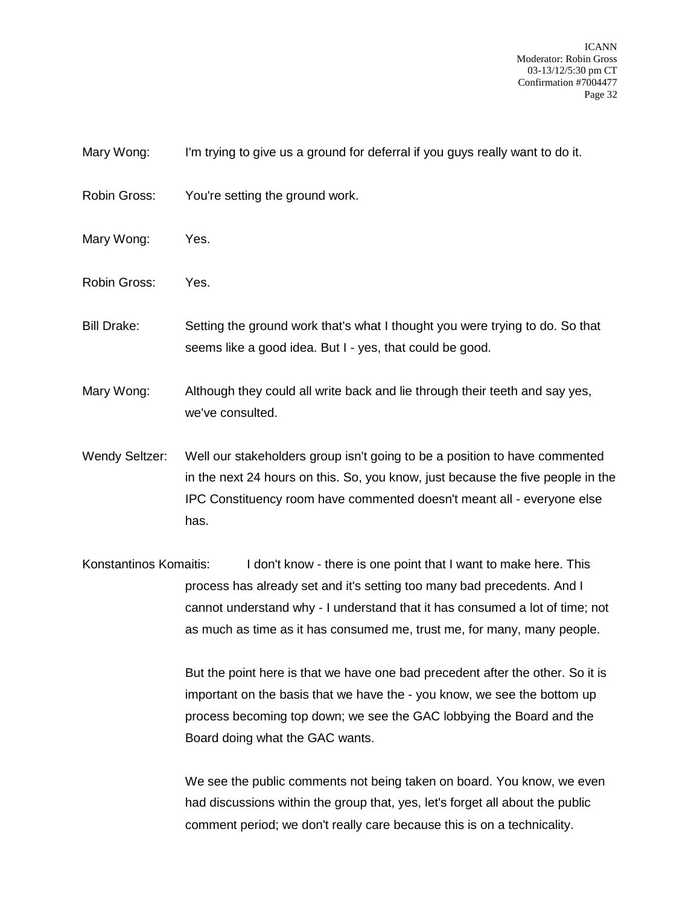- Mary Wong: I'm trying to give us a ground for deferral if you guys really want to do it.
- Robin Gross: You're setting the ground work.
- Mary Wong: Yes.
- Robin Gross: Yes.
- Bill Drake: Setting the ground work that's what I thought you were trying to do. So that seems like a good idea. But I - yes, that could be good.
- Mary Wong: Although they could all write back and lie through their teeth and say yes, we've consulted.
- Wendy Seltzer: Well our stakeholders group isn't going to be a position to have commented in the next 24 hours on this. So, you know, just because the five people in the IPC Constituency room have commented doesn't meant all - everyone else has.
- Konstantinos Komaitis: I don't know there is one point that I want to make here. This process has already set and it's setting too many bad precedents. And I cannot understand why - I understand that it has consumed a lot of time; not as much as time as it has consumed me, trust me, for many, many people.

But the point here is that we have one bad precedent after the other. So it is important on the basis that we have the - you know, we see the bottom up process becoming top down; we see the GAC lobbying the Board and the Board doing what the GAC wants.

We see the public comments not being taken on board. You know, we even had discussions within the group that, yes, let's forget all about the public comment period; we don't really care because this is on a technicality.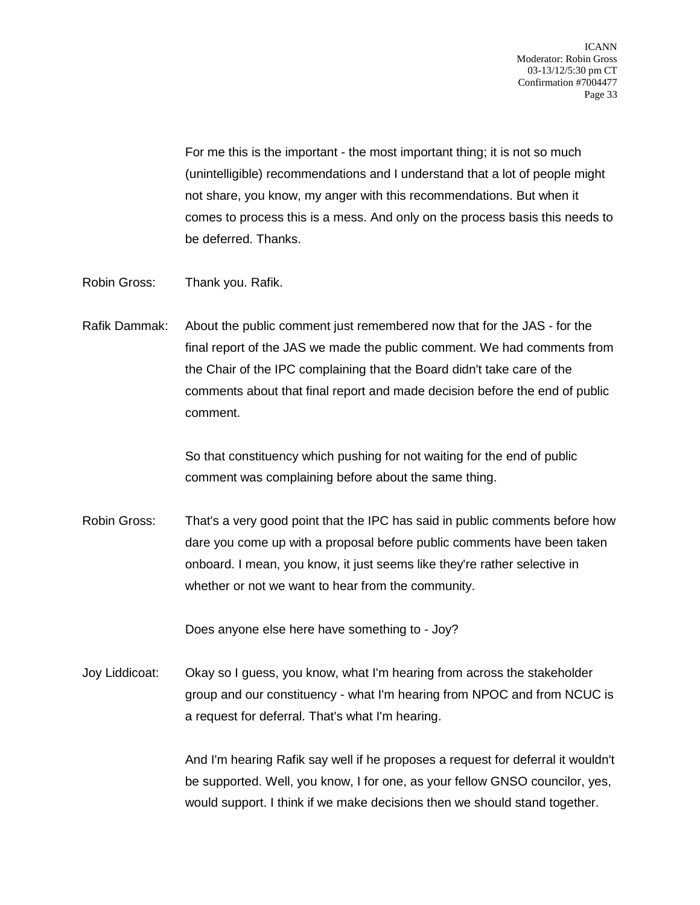For me this is the important - the most important thing; it is not so much (unintelligible) recommendations and I understand that a lot of people might not share, you know, my anger with this recommendations. But when it comes to process this is a mess. And only on the process basis this needs to be deferred. Thanks.

- Robin Gross: Thank you. Rafik.
- Rafik Dammak: About the public comment just remembered now that for the JAS for the final report of the JAS we made the public comment. We had comments from the Chair of the IPC complaining that the Board didn't take care of the comments about that final report and made decision before the end of public comment.

So that constituency which pushing for not waiting for the end of public comment was complaining before about the same thing.

Robin Gross: That's a very good point that the IPC has said in public comments before how dare you come up with a proposal before public comments have been taken onboard. I mean, you know, it just seems like they're rather selective in whether or not we want to hear from the community.

Does anyone else here have something to - Joy?

Joy Liddicoat: Okay so I guess, you know, what I'm hearing from across the stakeholder group and our constituency - what I'm hearing from NPOC and from NCUC is a request for deferral. That's what I'm hearing.

> And I'm hearing Rafik say well if he proposes a request for deferral it wouldn't be supported. Well, you know, I for one, as your fellow GNSO councilor, yes, would support. I think if we make decisions then we should stand together.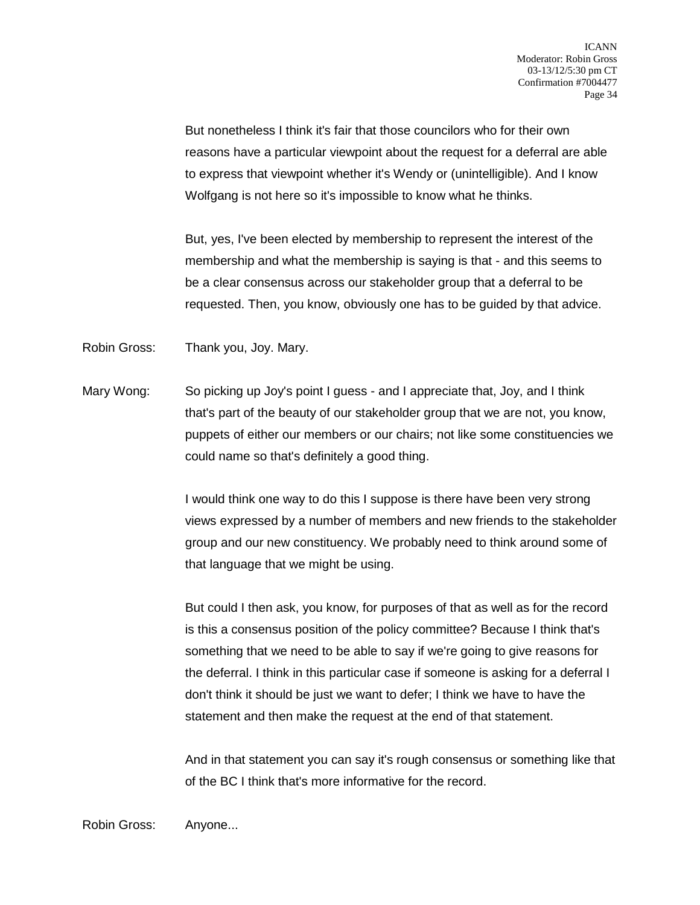But nonetheless I think it's fair that those councilors who for their own reasons have a particular viewpoint about the request for a deferral are able to express that viewpoint whether it's Wendy or (unintelligible). And I know Wolfgang is not here so it's impossible to know what he thinks.

But, yes, I've been elected by membership to represent the interest of the membership and what the membership is saying is that - and this seems to be a clear consensus across our stakeholder group that a deferral to be requested. Then, you know, obviously one has to be guided by that advice.

Robin Gross: Thank you, Joy. Mary.

Mary Wong: So picking up Joy's point I guess - and I appreciate that, Joy, and I think that's part of the beauty of our stakeholder group that we are not, you know, puppets of either our members or our chairs; not like some constituencies we could name so that's definitely a good thing.

> I would think one way to do this I suppose is there have been very strong views expressed by a number of members and new friends to the stakeholder group and our new constituency. We probably need to think around some of that language that we might be using.

But could I then ask, you know, for purposes of that as well as for the record is this a consensus position of the policy committee? Because I think that's something that we need to be able to say if we're going to give reasons for the deferral. I think in this particular case if someone is asking for a deferral I don't think it should be just we want to defer; I think we have to have the statement and then make the request at the end of that statement.

And in that statement you can say it's rough consensus or something like that of the BC I think that's more informative for the record.

Robin Gross: Anyone...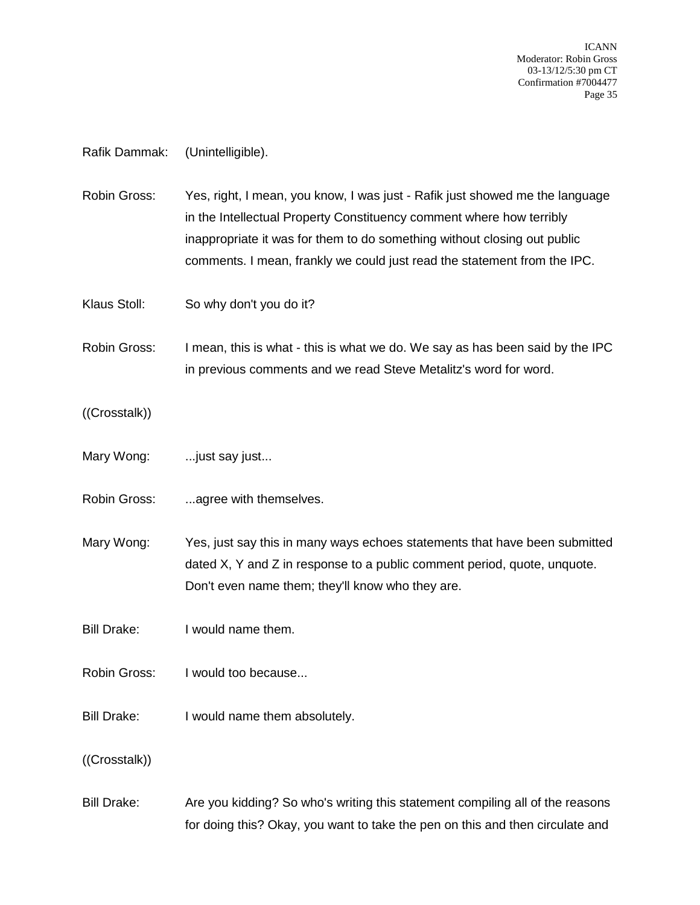### Rafik Dammak: (Unintelligible).

Robin Gross: Yes, right, I mean, you know, I was just - Rafik just showed me the language in the Intellectual Property Constituency comment where how terribly inappropriate it was for them to do something without closing out public comments. I mean, frankly we could just read the statement from the IPC.

Klaus Stoll: So why don't you do it?

Robin Gross: I mean, this is what - this is what we do. We say as has been said by the IPC in previous comments and we read Steve Metalitz's word for word.

((Crosstalk))

- Mary Wong: ...just say just...
- Robin Gross: ...agree with themselves.

Mary Wong: Yes, just say this in many ways echoes statements that have been submitted dated X, Y and Z in response to a public comment period, quote, unquote. Don't even name them; they'll know who they are.

Bill Drake: I would name them.

Robin Gross: I would too because...

Bill Drake: I would name them absolutely.

((Crosstalk))

Bill Drake: Are you kidding? So who's writing this statement compiling all of the reasons for doing this? Okay, you want to take the pen on this and then circulate and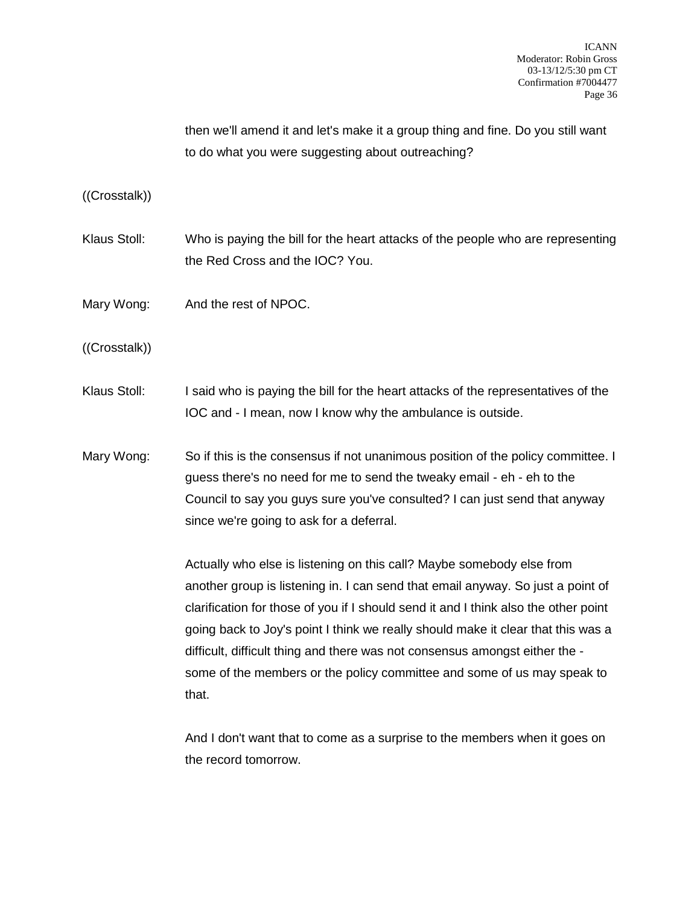then we'll amend it and let's make it a group thing and fine. Do you still want to do what you were suggesting about outreaching?

((Crosstalk))

- Klaus Stoll: Who is paying the bill for the heart attacks of the people who are representing the Red Cross and the IOC? You.
- Mary Wong: And the rest of NPOC.

((Crosstalk))

- Klaus Stoll: I said who is paying the bill for the heart attacks of the representatives of the IOC and - I mean, now I know why the ambulance is outside.
- Mary Wong: So if this is the consensus if not unanimous position of the policy committee. I guess there's no need for me to send the tweaky email - eh - eh to the Council to say you guys sure you've consulted? I can just send that anyway since we're going to ask for a deferral.

Actually who else is listening on this call? Maybe somebody else from another group is listening in. I can send that email anyway. So just a point of clarification for those of you if I should send it and I think also the other point going back to Joy's point I think we really should make it clear that this was a difficult, difficult thing and there was not consensus amongst either the some of the members or the policy committee and some of us may speak to that.

And I don't want that to come as a surprise to the members when it goes on the record tomorrow.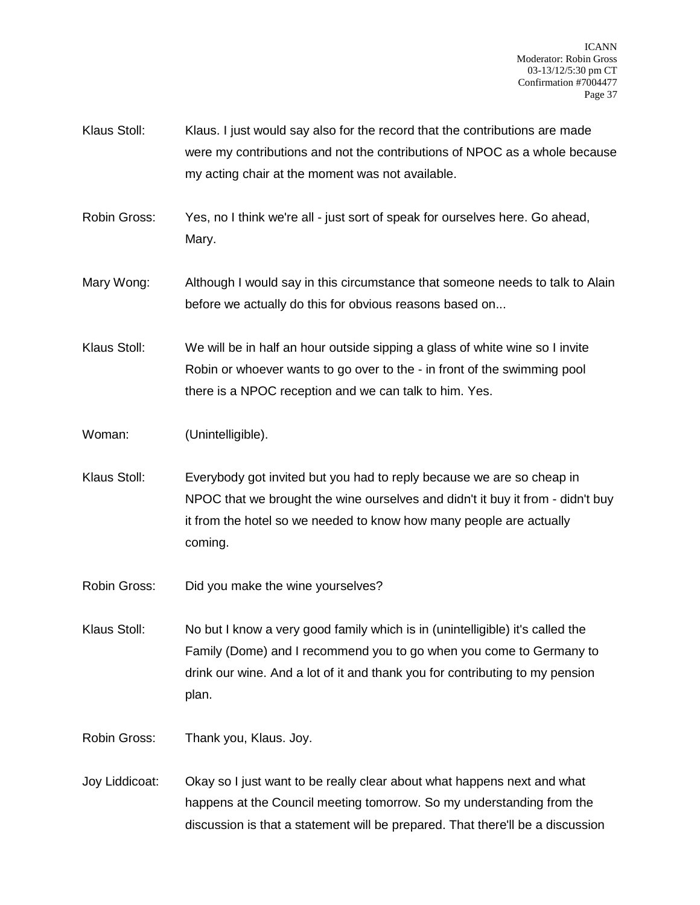- Klaus Stoll: Klaus. I just would say also for the record that the contributions are made were my contributions and not the contributions of NPOC as a whole because my acting chair at the moment was not available.
- Robin Gross: Yes, no I think we're all just sort of speak for ourselves here. Go ahead, Mary.
- Mary Wong: Although I would say in this circumstance that someone needs to talk to Alain before we actually do this for obvious reasons based on...
- Klaus Stoll: We will be in half an hour outside sipping a glass of white wine so I invite Robin or whoever wants to go over to the - in front of the swimming pool there is a NPOC reception and we can talk to him. Yes.
- Woman: (Unintelligible).
- Klaus Stoll: Everybody got invited but you had to reply because we are so cheap in NPOC that we brought the wine ourselves and didn't it buy it from - didn't buy it from the hotel so we needed to know how many people are actually coming.
- Robin Gross: Did you make the wine yourselves?
- Klaus Stoll: No but I know a very good family which is in (unintelligible) it's called the Family (Dome) and I recommend you to go when you come to Germany to drink our wine. And a lot of it and thank you for contributing to my pension plan.
- Robin Gross: Thank you, Klaus. Joy.
- Joy Liddicoat: Okay so I just want to be really clear about what happens next and what happens at the Council meeting tomorrow. So my understanding from the discussion is that a statement will be prepared. That there'll be a discussion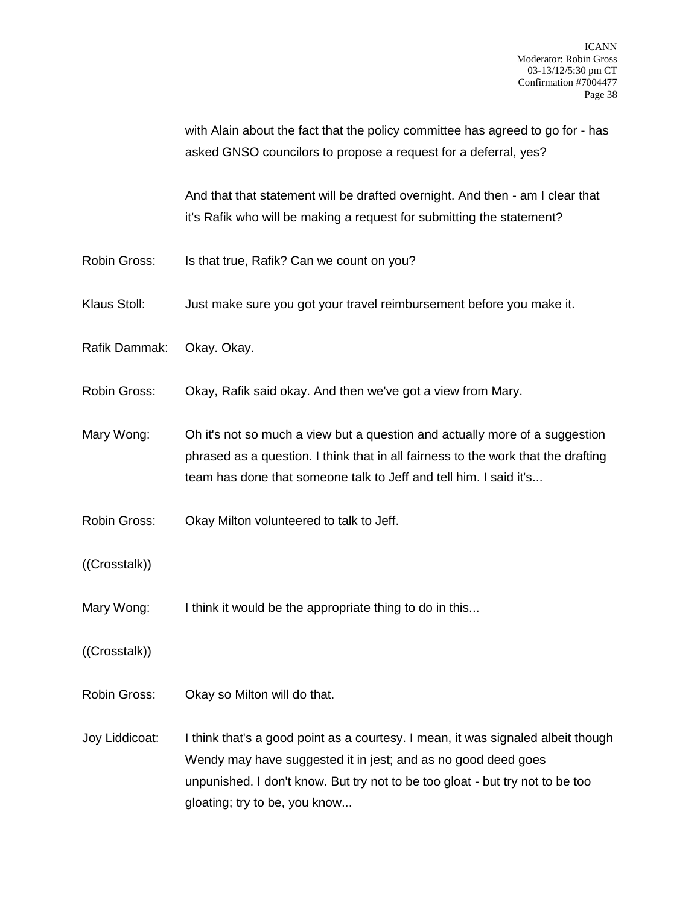with Alain about the fact that the policy committee has agreed to go for - has asked GNSO councilors to propose a request for a deferral, yes?

And that that statement will be drafted overnight. And then - am I clear that it's Rafik who will be making a request for submitting the statement?

- Robin Gross: Is that true, Rafik? Can we count on you?
- Klaus Stoll: Just make sure you got your travel reimbursement before you make it.
- Rafik Dammak: Okay. Okay.
- Robin Gross: Okay, Rafik said okay. And then we've got a view from Mary.
- Mary Wong: Oh it's not so much a view but a question and actually more of a suggestion phrased as a question. I think that in all fairness to the work that the drafting team has done that someone talk to Jeff and tell him. I said it's...
- Robin Gross: Okay Milton volunteered to talk to Jeff.
- ((Crosstalk))
- Mary Wong: I think it would be the appropriate thing to do in this...
- ((Crosstalk))
- Robin Gross: Okay so Milton will do that.
- Joy Liddicoat: I think that's a good point as a courtesy. I mean, it was signaled albeit though Wendy may have suggested it in jest; and as no good deed goes unpunished. I don't know. But try not to be too gloat - but try not to be too gloating; try to be, you know...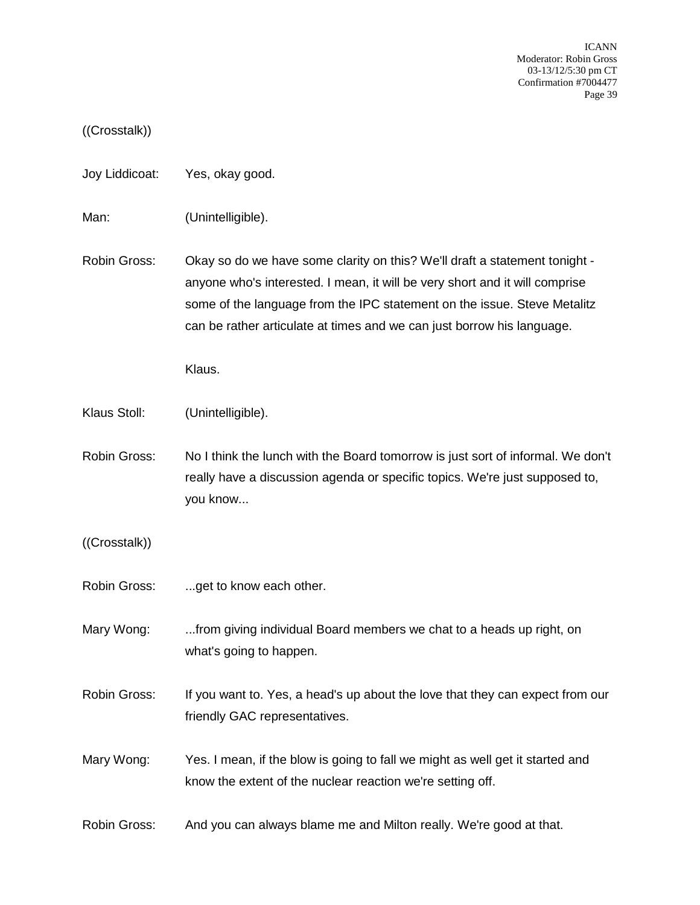## ((Crosstalk))

- Joy Liddicoat: Yes, okay good.
- Man: (Unintelligible).
- Robin Gross: Okay so do we have some clarity on this? We'll draft a statement tonight anyone who's interested. I mean, it will be very short and it will comprise some of the language from the IPC statement on the issue. Steve Metalitz can be rather articulate at times and we can just borrow his language.

Klaus.

- Klaus Stoll: (Unintelligible).
- Robin Gross: No I think the lunch with the Board tomorrow is just sort of informal. We don't really have a discussion agenda or specific topics. We're just supposed to, you know...
- ((Crosstalk))
- Robin Gross: ...get to know each other.
- Mary Wong: ...from giving individual Board members we chat to a heads up right, on what's going to happen.
- Robin Gross: If you want to. Yes, a head's up about the love that they can expect from our friendly GAC representatives.
- Mary Wong: Yes. I mean, if the blow is going to fall we might as well get it started and know the extent of the nuclear reaction we're setting off.
- Robin Gross: And you can always blame me and Milton really. We're good at that.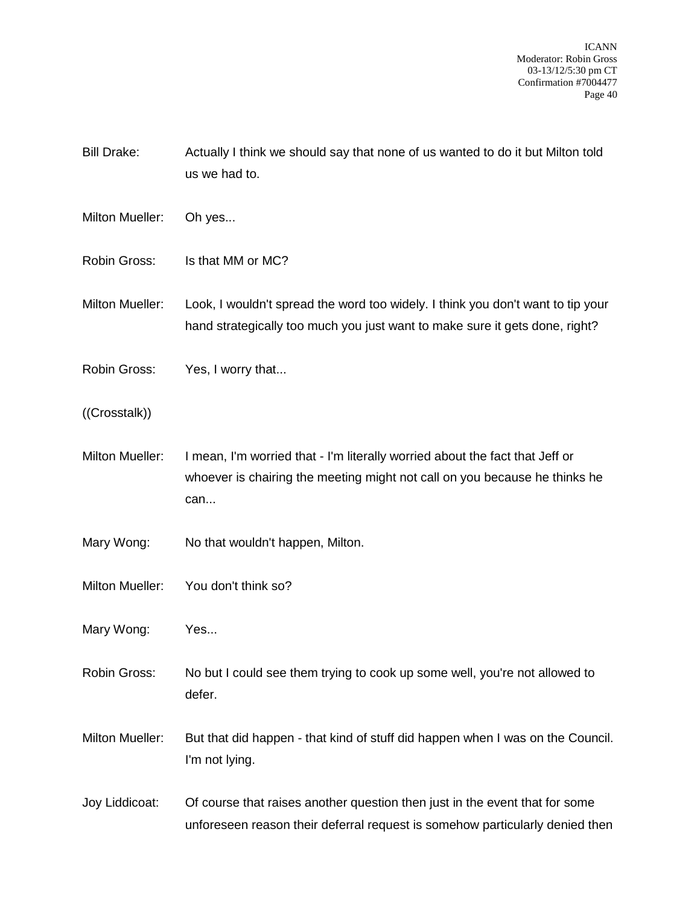Bill Drake: Actually I think we should say that none of us wanted to do it but Milton told us we had to.

- Milton Mueller: Oh yes...
- Robin Gross: Is that MM or MC?
- Milton Mueller: Look, I wouldn't spread the word too widely. I think you don't want to tip your hand strategically too much you just want to make sure it gets done, right?
- Robin Gross: Yes, I worry that...
- ((Crosstalk))
- Milton Mueller: I mean, I'm worried that I'm literally worried about the fact that Jeff or whoever is chairing the meeting might not call on you because he thinks he can...
- Mary Wong: No that wouldn't happen, Milton.
- Milton Mueller: You don't think so?
- Mary Wong: Yes...
- Robin Gross: No but I could see them trying to cook up some well, you're not allowed to defer.
- Milton Mueller: But that did happen that kind of stuff did happen when I was on the Council. I'm not lying.
- Joy Liddicoat: Of course that raises another question then just in the event that for some unforeseen reason their deferral request is somehow particularly denied then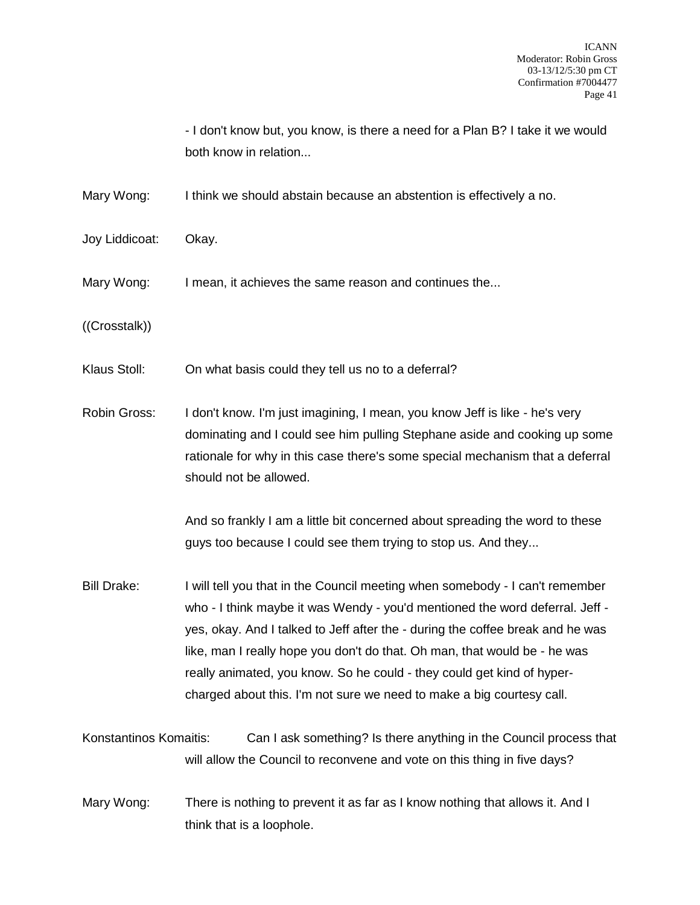- I don't know but, you know, is there a need for a Plan B? I take it we would both know in relation...

Mary Wong: I think we should abstain because an abstention is effectively a no.

- Joy Liddicoat: Okay.
- Mary Wong: I mean, it achieves the same reason and continues the...
- ((Crosstalk))
- Klaus Stoll: On what basis could they tell us no to a deferral?

Robin Gross: I don't know. I'm just imagining, I mean, you know Jeff is like - he's very dominating and I could see him pulling Stephane aside and cooking up some rationale for why in this case there's some special mechanism that a deferral should not be allowed.

> And so frankly I am a little bit concerned about spreading the word to these guys too because I could see them trying to stop us. And they...

- Bill Drake: I will tell you that in the Council meeting when somebody I can't remember who - I think maybe it was Wendy - you'd mentioned the word deferral. Jeff yes, okay. And I talked to Jeff after the - during the coffee break and he was like, man I really hope you don't do that. Oh man, that would be - he was really animated, you know. So he could - they could get kind of hypercharged about this. I'm not sure we need to make a big courtesy call.
- Konstantinos Komaitis: Can I ask something? Is there anything in the Council process that will allow the Council to reconvene and vote on this thing in five days?
- Mary Wong: There is nothing to prevent it as far as I know nothing that allows it. And I think that is a loophole.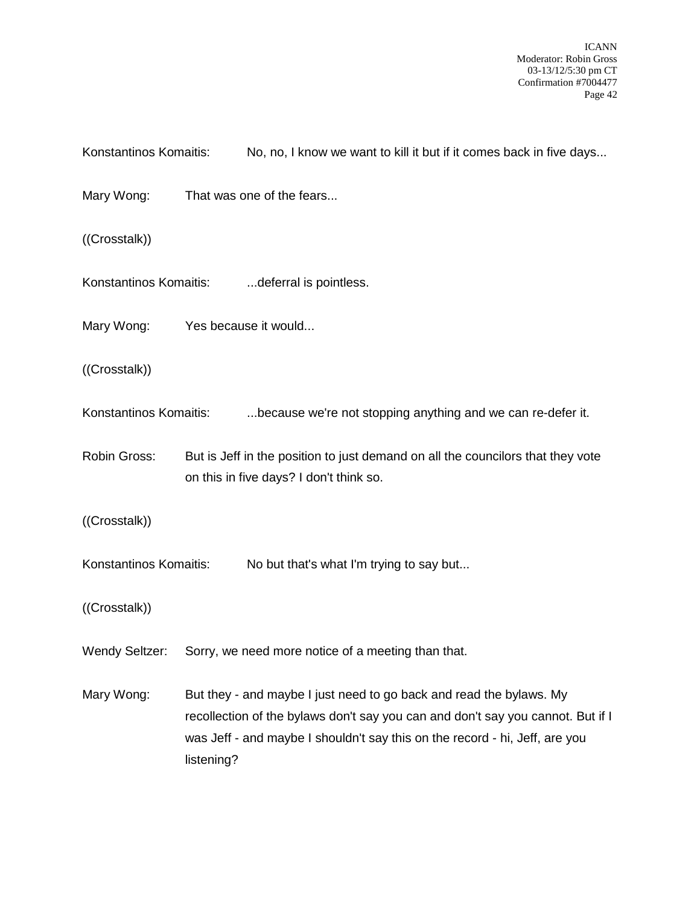Konstantinos Komaitis: No, no, I know we want to kill it but if it comes back in five days... Mary Wong: That was one of the fears... ((Crosstalk)) Konstantinos Komaitis: ...............deferral is pointless. Mary Wong: Yes because it would... ((Crosstalk)) Konstantinos Komaitis: ....because we're not stopping anything and we can re-defer it. Robin Gross: But is Jeff in the position to just demand on all the councilors that they vote on this in five days? I don't think so. ((Crosstalk)) Konstantinos Komaitis: No but that's what I'm trying to say but... ((Crosstalk)) Wendy Seltzer: Sorry, we need more notice of a meeting than that. Mary Wong: But they - and maybe I just need to go back and read the bylaws. My recollection of the bylaws don't say you can and don't say you cannot. But if I was Jeff - and maybe I shouldn't say this on the record - hi, Jeff, are you listening?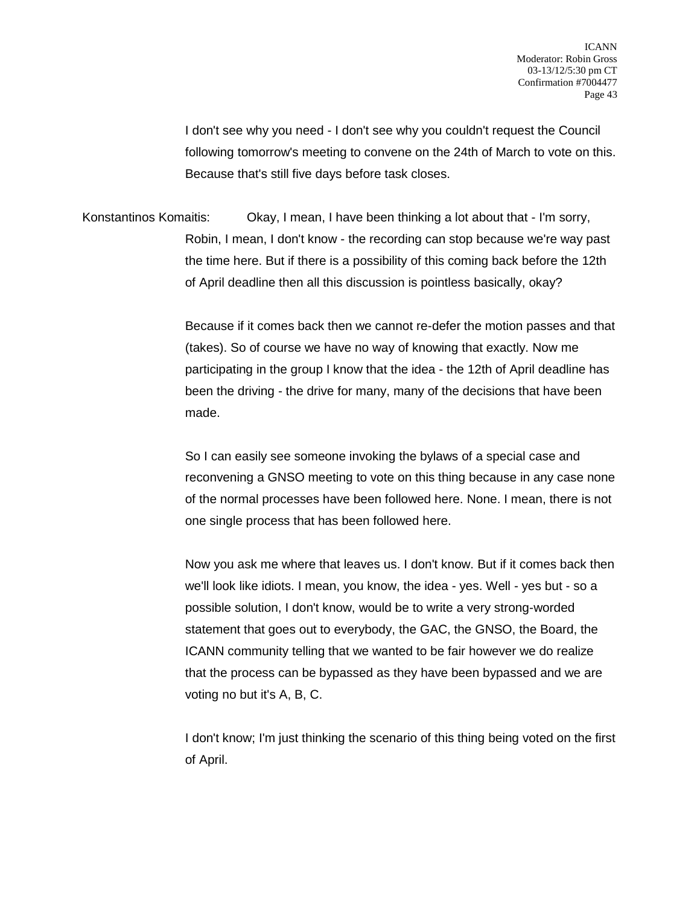I don't see why you need - I don't see why you couldn't request the Council following tomorrow's meeting to convene on the 24th of March to vote on this. Because that's still five days before task closes.

Konstantinos Komaitis: Okay, I mean, I have been thinking a lot about that - I'm sorry, Robin, I mean, I don't know - the recording can stop because we're way past the time here. But if there is a possibility of this coming back before the 12th of April deadline then all this discussion is pointless basically, okay?

> Because if it comes back then we cannot re-defer the motion passes and that (takes). So of course we have no way of knowing that exactly. Now me participating in the group I know that the idea - the 12th of April deadline has been the driving - the drive for many, many of the decisions that have been made.

> So I can easily see someone invoking the bylaws of a special case and reconvening a GNSO meeting to vote on this thing because in any case none of the normal processes have been followed here. None. I mean, there is not one single process that has been followed here.

> Now you ask me where that leaves us. I don't know. But if it comes back then we'll look like idiots. I mean, you know, the idea - yes. Well - yes but - so a possible solution, I don't know, would be to write a very strong-worded statement that goes out to everybody, the GAC, the GNSO, the Board, the ICANN community telling that we wanted to be fair however we do realize that the process can be bypassed as they have been bypassed and we are voting no but it's A, B, C.

> I don't know; I'm just thinking the scenario of this thing being voted on the first of April.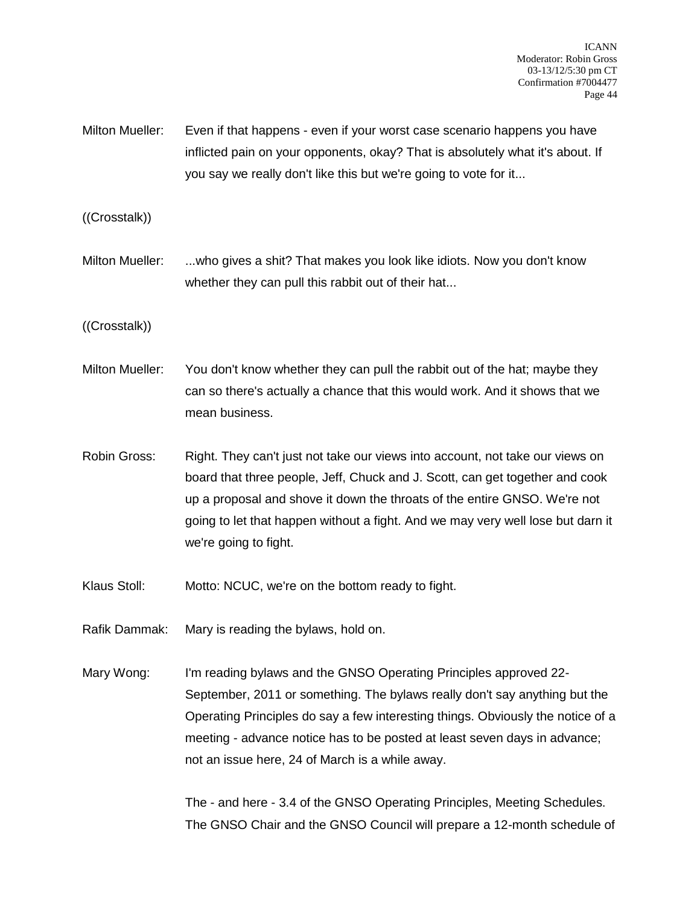- Milton Mueller: Even if that happens even if your worst case scenario happens you have inflicted pain on your opponents, okay? That is absolutely what it's about. If you say we really don't like this but we're going to vote for it...
- ((Crosstalk))
- Milton Mueller: ...who gives a shit? That makes you look like idiots. Now you don't know whether they can pull this rabbit out of their hat...
- ((Crosstalk))
- Milton Mueller: You don't know whether they can pull the rabbit out of the hat; maybe they can so there's actually a chance that this would work. And it shows that we mean business.
- Robin Gross: Right. They can't just not take our views into account, not take our views on board that three people, Jeff, Chuck and J. Scott, can get together and cook up a proposal and shove it down the throats of the entire GNSO. We're not going to let that happen without a fight. And we may very well lose but darn it we're going to fight.
- Klaus Stoll: Motto: NCUC, we're on the bottom ready to fight.
- Rafik Dammak: Mary is reading the bylaws, hold on.
- Mary Wong: I'm reading bylaws and the GNSO Operating Principles approved 22-September, 2011 or something. The bylaws really don't say anything but the Operating Principles do say a few interesting things. Obviously the notice of a meeting - advance notice has to be posted at least seven days in advance; not an issue here, 24 of March is a while away.

The - and here - 3.4 of the GNSO Operating Principles, Meeting Schedules. The GNSO Chair and the GNSO Council will prepare a 12-month schedule of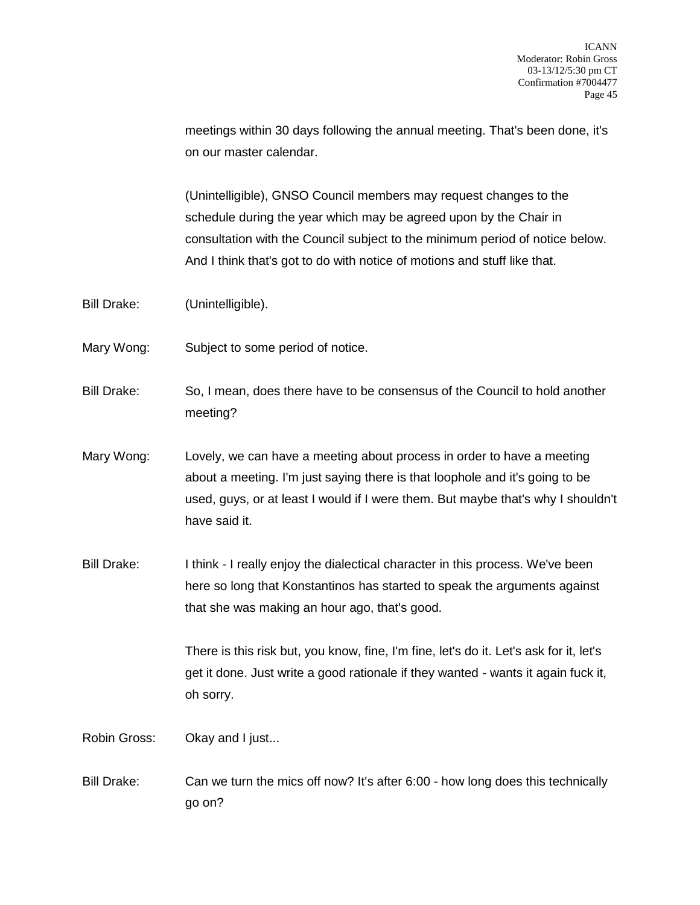meetings within 30 days following the annual meeting. That's been done, it's on our master calendar.

(Unintelligible), GNSO Council members may request changes to the schedule during the year which may be agreed upon by the Chair in consultation with the Council subject to the minimum period of notice below. And I think that's got to do with notice of motions and stuff like that.

- Bill Drake: (Unintelligible).
- Mary Wong: Subject to some period of notice.

Bill Drake: So, I mean, does there have to be consensus of the Council to hold another meeting?

- Mary Wong: Lovely, we can have a meeting about process in order to have a meeting about a meeting. I'm just saying there is that loophole and it's going to be used, guys, or at least I would if I were them. But maybe that's why I shouldn't have said it.
- Bill Drake: I think I really enjoy the dialectical character in this process. We've been here so long that Konstantinos has started to speak the arguments against that she was making an hour ago, that's good.

There is this risk but, you know, fine, I'm fine, let's do it. Let's ask for it, let's get it done. Just write a good rationale if they wanted - wants it again fuck it, oh sorry.

Robin Gross: Okay and I just...

Bill Drake: Can we turn the mics off now? It's after 6:00 - how long does this technically go on?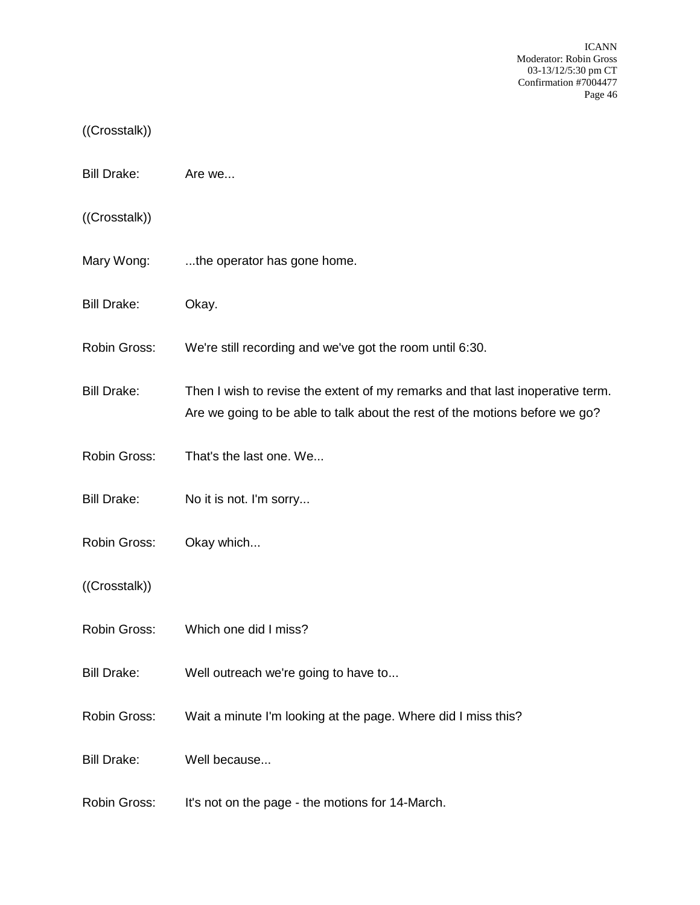## ((Crosstalk))

- Bill Drake: Are we...
- ((Crosstalk))
- Mary Wong: ...the operator has gone home.
- Bill Drake: Okay.
- Robin Gross: We're still recording and we've got the room until 6:30.
- Bill Drake: Then I wish to revise the extent of my remarks and that last inoperative term. Are we going to be able to talk about the rest of the motions before we go?
- Robin Gross: That's the last one. We...
- Bill Drake: No it is not. I'm sorry...
- Robin Gross: Okay which...
- ((Crosstalk))
- Robin Gross: Which one did I miss?
- Bill Drake: Well outreach we're going to have to...
- Robin Gross: Wait a minute I'm looking at the page. Where did I miss this?
- Bill Drake: Well because...
- Robin Gross: It's not on the page the motions for 14-March.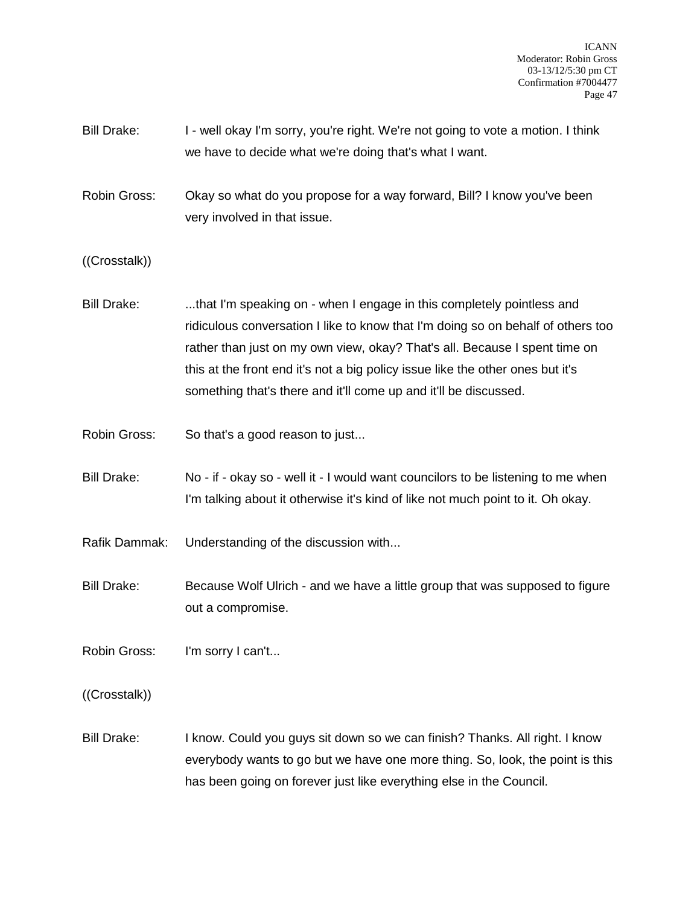- Bill Drake: I well okay I'm sorry, you're right. We're not going to vote a motion. I think we have to decide what we're doing that's what I want.
- Robin Gross: Okay so what do you propose for a way forward, Bill? I know you've been very involved in that issue.

((Crosstalk))

- Bill Drake: ...that I'm speaking on when I engage in this completely pointless and ridiculous conversation I like to know that I'm doing so on behalf of others too rather than just on my own view, okay? That's all. Because I spent time on this at the front end it's not a big policy issue like the other ones but it's something that's there and it'll come up and it'll be discussed.
- Robin Gross: So that's a good reason to just...
- Bill Drake: No if okay so well it I would want councilors to be listening to me when I'm talking about it otherwise it's kind of like not much point to it. Oh okay.
- Rafik Dammak: Understanding of the discussion with...
- Bill Drake: Because Wolf Ulrich and we have a little group that was supposed to figure out a compromise.

Robin Gross: I'm sorry I can't...

((Crosstalk))

Bill Drake: I know. Could you guys sit down so we can finish? Thanks. All right. I know everybody wants to go but we have one more thing. So, look, the point is this has been going on forever just like everything else in the Council.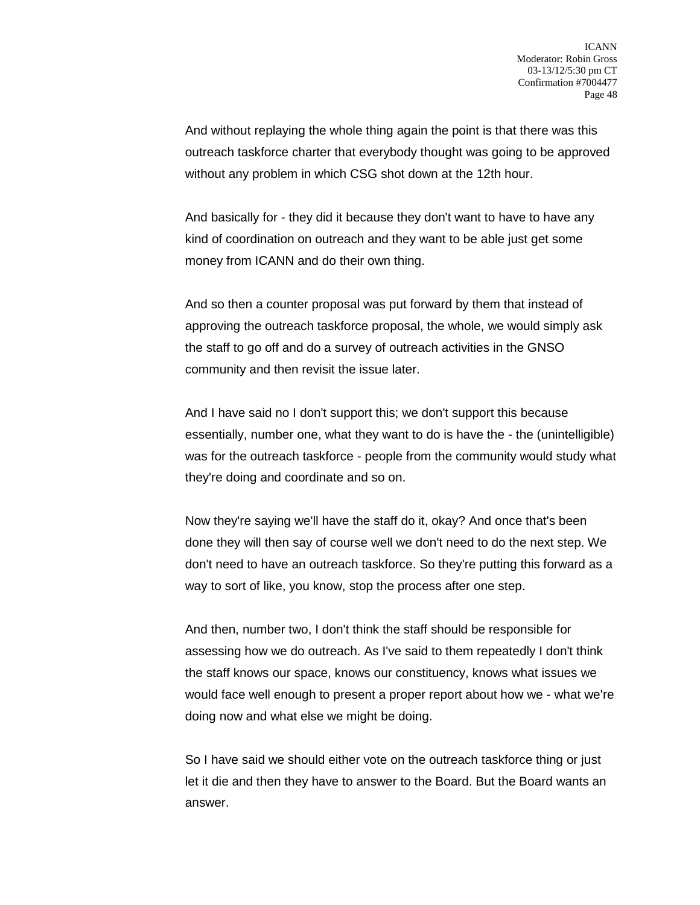And without replaying the whole thing again the point is that there was this outreach taskforce charter that everybody thought was going to be approved without any problem in which CSG shot down at the 12th hour.

And basically for - they did it because they don't want to have to have any kind of coordination on outreach and they want to be able just get some money from ICANN and do their own thing.

And so then a counter proposal was put forward by them that instead of approving the outreach taskforce proposal, the whole, we would simply ask the staff to go off and do a survey of outreach activities in the GNSO community and then revisit the issue later.

And I have said no I don't support this; we don't support this because essentially, number one, what they want to do is have the - the (unintelligible) was for the outreach taskforce - people from the community would study what they're doing and coordinate and so on.

Now they're saying we'll have the staff do it, okay? And once that's been done they will then say of course well we don't need to do the next step. We don't need to have an outreach taskforce. So they're putting this forward as a way to sort of like, you know, stop the process after one step.

And then, number two, I don't think the staff should be responsible for assessing how we do outreach. As I've said to them repeatedly I don't think the staff knows our space, knows our constituency, knows what issues we would face well enough to present a proper report about how we - what we're doing now and what else we might be doing.

So I have said we should either vote on the outreach taskforce thing or just let it die and then they have to answer to the Board. But the Board wants an answer.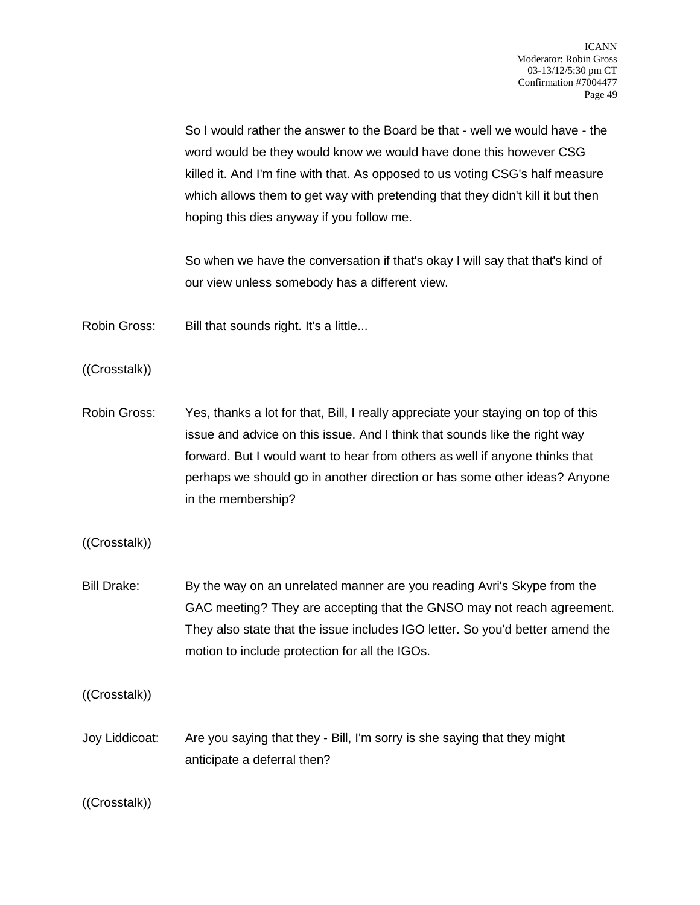So I would rather the answer to the Board be that - well we would have - the word would be they would know we would have done this however CSG killed it. And I'm fine with that. As opposed to us voting CSG's half measure which allows them to get way with pretending that they didn't kill it but then hoping this dies anyway if you follow me.

So when we have the conversation if that's okay I will say that that's kind of our view unless somebody has a different view.

Robin Gross: Bill that sounds right. It's a little...

((Crosstalk))

Robin Gross: Yes, thanks a lot for that, Bill, I really appreciate your staying on top of this issue and advice on this issue. And I think that sounds like the right way forward. But I would want to hear from others as well if anyone thinks that perhaps we should go in another direction or has some other ideas? Anyone in the membership?

((Crosstalk))

Bill Drake: By the way on an unrelated manner are you reading Avri's Skype from the GAC meeting? They are accepting that the GNSO may not reach agreement. They also state that the issue includes IGO letter. So you'd better amend the motion to include protection for all the IGOs.

((Crosstalk))

Joy Liddicoat: Are you saying that they - Bill, I'm sorry is she saying that they might anticipate a deferral then?

((Crosstalk))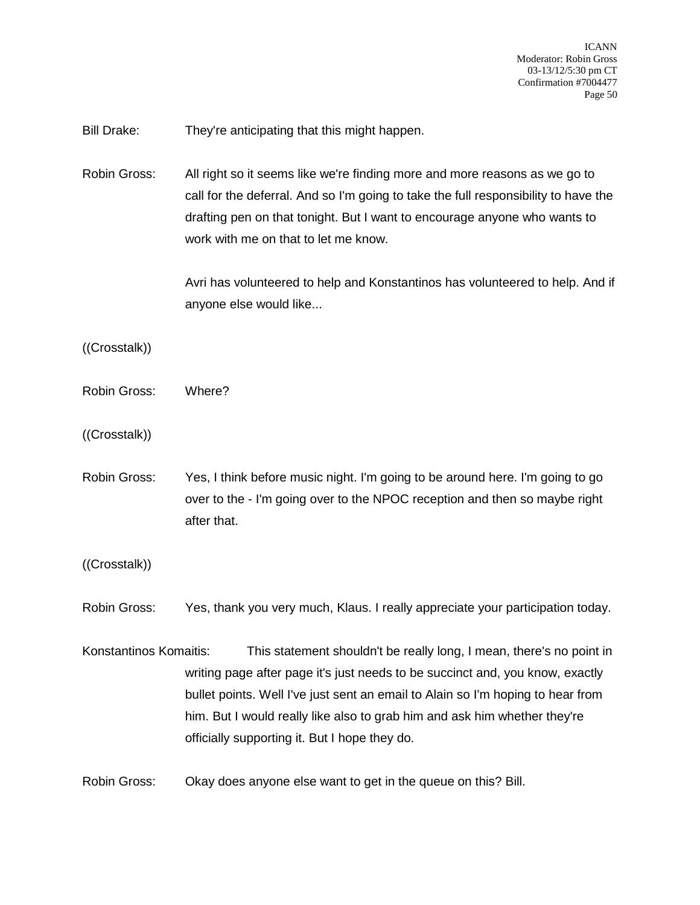Bill Drake: They're anticipating that this might happen.

Robin Gross: All right so it seems like we're finding more and more reasons as we go to call for the deferral. And so I'm going to take the full responsibility to have the drafting pen on that tonight. But I want to encourage anyone who wants to work with me on that to let me know.

> Avri has volunteered to help and Konstantinos has volunteered to help. And if anyone else would like...

((Crosstalk))

- Robin Gross: Where?
- ((Crosstalk))
- Robin Gross: Yes, I think before music night. I'm going to be around here. I'm going to go over to the - I'm going over to the NPOC reception and then so maybe right after that.
- ((Crosstalk))

Robin Gross: Yes, thank you very much, Klaus. I really appreciate your participation today.

Konstantinos Komaitis: This statement shouldn't be really long, I mean, there's no point in writing page after page it's just needs to be succinct and, you know, exactly bullet points. Well I've just sent an email to Alain so I'm hoping to hear from him. But I would really like also to grab him and ask him whether they're officially supporting it. But I hope they do.

Robin Gross: Okay does anyone else want to get in the queue on this? Bill.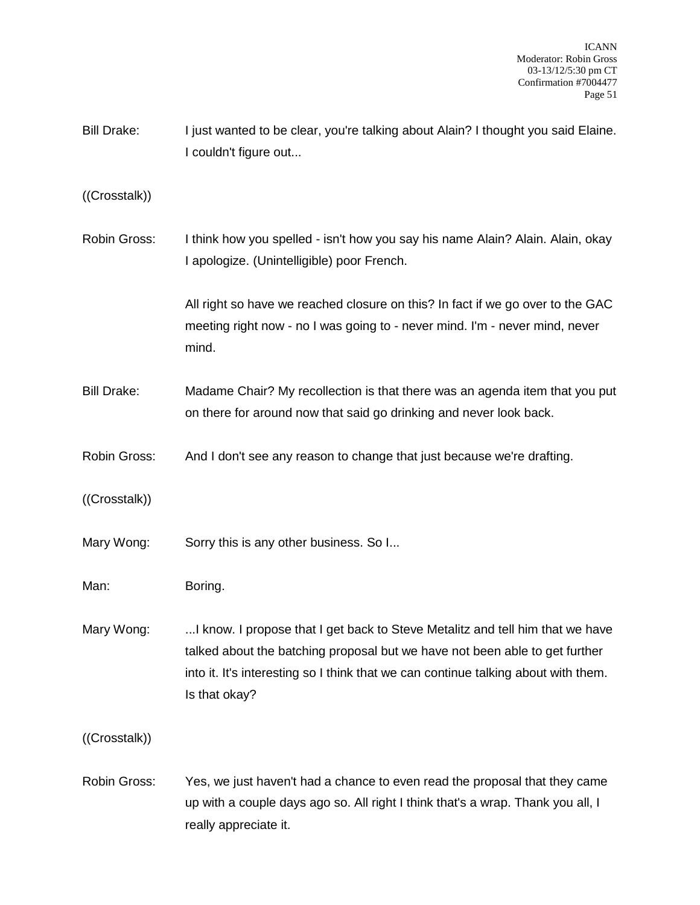Bill Drake: I just wanted to be clear, you're talking about Alain? I thought you said Elaine. I couldn't figure out...

((Crosstalk))

Robin Gross: I think how you spelled - isn't how you say his name Alain? Alain. Alain, okay I apologize. (Unintelligible) poor French.

> All right so have we reached closure on this? In fact if we go over to the GAC meeting right now - no I was going to - never mind. I'm - never mind, never mind.

- Bill Drake: Madame Chair? My recollection is that there was an agenda item that you put on there for around now that said go drinking and never look back.
- Robin Gross: And I don't see any reason to change that just because we're drafting.

((Crosstalk))

- Mary Wong: Sorry this is any other business. So I...
- Man: Boring.
- Mary Wong: ...I know. I propose that I get back to Steve Metalitz and tell him that we have talked about the batching proposal but we have not been able to get further into it. It's interesting so I think that we can continue talking about with them. Is that okay?

((Crosstalk))

Robin Gross: Yes, we just haven't had a chance to even read the proposal that they came up with a couple days ago so. All right I think that's a wrap. Thank you all, I really appreciate it.